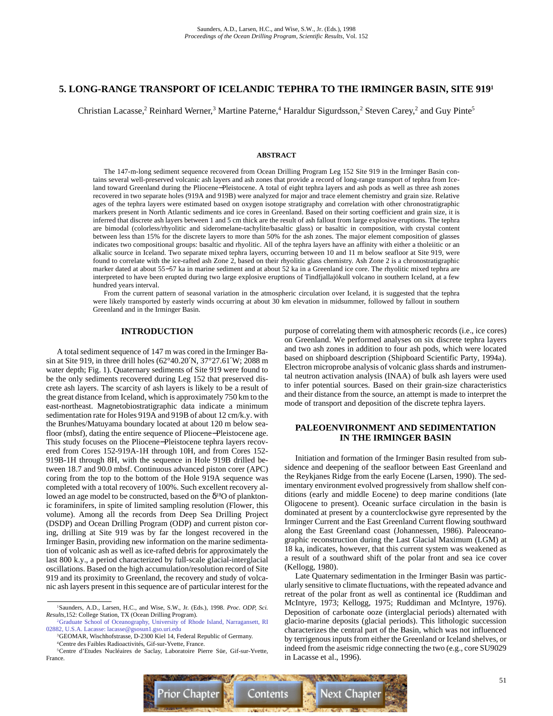## **5. LONG-RANGE TRANSPORT OF ICELANDIC TEPHRA TO THE IRMINGER BASIN, SITE 9191**

Christian Lacasse,<sup>2</sup> Reinhard Werner,<sup>3</sup> Martine Paterne,<sup>4</sup> Haraldur Sigurdsson,<sup>2</sup> Steven Carey,<sup>2</sup> and Guy Pinte<sup>5</sup>

#### **ABSTRACT**

The 147-m-long sediment sequence recovered from Ocean Drilling Program Leg 152 Site 919 in the Irminger Basin contains several well-preserved volcanic ash layers and ash zones that provide a record of long-range transport of tephra from Iceland toward Greenland during the Pliocene−Pleistocene. A total of eight tephra layers and ash pods as well as three ash zones recovered in two separate holes (919A and 919B) were analyzed for major and trace element chemistry and grain size. Relative ages of the tephra layers were estimated based on oxygen isotope stratigraphy and correlation with other chronostratigraphic markers present in North Atlantic sediments and ice cores in Greenland. Based on their sorting coefficient and grain size, it is inferred that discrete ash layers between 1 and 5 cm thick are the result of ash fallout from large explosive eruptions. The tephra are bimodal (colorless/rhyolitic and sideromelane-tachylite/basaltic glass) or basaltic in composition, with crystal content between less than 15% for the discrete layers to more than 50% for the ash zones. The major element composition of glasses indicates two compositional groups: basaltic and rhyolitic. All of the tephra layers have an affinity with either a tholeiitic or an alkalic source in Iceland. Two separate mixed tephra layers, occurring between 10 and 11 m below seafloor at Site 919, were found to correlate with the ice-rafted ash Zone 2, based on their rhyolitic glass chemistry. Ash Zone 2 is a chronostratigraphic marker dated at about 55−57 ka in marine sediment and at about 52 ka in a Greenland ice core. The rhyolitic mixed tephra are interpreted to have been erupted during two large explosive eruptions of Tindfjallajökull volcano in southern Iceland, at a few hundred years interval.

From the current pattern of seasonal variation in the atmospheric circulation over Iceland, it is suggested that the tephra were likely transported by easterly winds occurring at about 30 km elevation in midsummer, followed by fallout in southern Greenland and in the Irminger Basin.

#### **INTRODUCTION**

A total sediment sequence of 147 m was cored in the Irminger Basin at Site 919, in three drill holes (62°40.20′N, 37°27.61′W; 2088 m water depth; Fig. 1). Quaternary sediments of Site 919 were found to be the only sediments recovered during Leg 152 that preserved discrete ash layers. The scarcity of ash layers is likely to be a result of the great distance from Iceland, which is approximately 750 km to the east-northeast. Magnetobiostratigraphic data indicate a minimum sedimentation rate for Holes 919A and 919B of about 12 cm/k.y. with the Brunhes/Matuyama boundary located at about 120 m below seafloor (mbsf), dating the entire sequence of Pliocene−Pleistocene age. This study focuses on the Pliocene−Pleistocene tephra layers recovered from Cores 152-919A-1H through 10H, and from Cores 152- 919B-1H through 8H, with the sequence in Hole 919B drilled between 18.7 and 90.0 mbsf. Continuous advanced piston corer (APC) coring from the top to the bottom of the Hole 919A sequence was completed with a total recovery of 100%. Such excellent recovery allowed an age model to be constructed, based on the  $\delta^{18}O$  of planktonic foraminifers, in spite of limited sampling resolution (Flower, this volume). Among all the records from Deep Sea Drilling Project (DSDP) and Ocean Drilling Program (ODP) and current piston coring, drilling at Site 919 was by far the longest recovered in the Irminger Basin, providing new information on the marine sedimentation of volcanic ash as well as ice-rafted debris for approximately the last 800 k.y., a period characterized by full-scale glacial-interglacial oscillations. Based on the high accumulation/resolution record of Site 919 and its proximity to Greenland, the recovery and study of volcanic ash layers present in this sequence are of particular interest for the purpose of correlating them with atmospheric records (i.e., ice cores) on Greenland. We performed analyses on six discrete tephra layers and two ash zones in addition to four ash pods, which were located based on shipboard description (Shipboard Scientific Party, 1994a). Electron microprobe analysis of volcanic glass shards and instrumental neutron activation analysis (INAA) of bulk ash layers were used to infer potential sources. Based on their grain-size characteristics and their distance from the source, an attempt is made to interpret the mode of transport and deposition of the discrete tephra layers.

## **PALEOENVIRONMENT AND SEDIMENTATION IN THE IRMINGER BASIN**

Initiation and formation of the Irminger Basin resulted from subsidence and deepening of the seafloor between East Greenland and the Reykjanes Ridge from the early Eocene (Larsen, 1990). The sedimentary environment evolved progressively from shallow shelf conditions (early and middle Eocene) to deep marine conditions (late Oligocene to present). Oceanic surface circulation in the basin is dominated at present by a counterclockwise gyre represented by the Irminger Current and the East Greenland Current flowing southward along the East Greenland coast (Johannessen, 1986). Paleoceanographic reconstruction during the Last Glacial Maximum (LGM) at 18 ka, indicates, however, that this current system was weakened as a result of a southward shift of the polar front and sea ice cover (Kellogg, 1980).

Late Quaternary sedimentation in the Irminger Basin was particularly sensitive to climate fluctuations, with the repeated advance and retreat of the polar front as well as continental ice (Ruddiman and McIntyre, 1973; Kellogg, 1975; Ruddiman and McIntyre, 1976). Deposition of carbonate ooze (interglacial periods) alternated with glacio-marine deposits (glacial periods). This lithologic succession characterizes the central part of the Basin, which was not influenced by terrigenous inputs from either the Greenland or Iceland shelves, or indeed from the aseismic ridge connecting the two (e.g., core SU9029 in Lacasse et al., 1996).



<sup>1</sup>Saunders, A.D., Larsen, H.C., and Wise, S.W., Jr. (Eds.), 1998. *Proc. ODP, Sci. Results,*152: College Station, TX (Ocean Drilling Program).

[<sup>2</sup>Graduate School of Oceanography, University of Rhode Island, Narragansett, RI](mailto:lacasse@gsosun1.gso.uri.edu) 02882, U.S.A. Lacasse: lacasse@gsosun1.gso.uri.edu

<sup>3</sup>GEOMAR, Wischhofstrasse, D-2300 Kiel 14, Federal Republic of Germany. 4Centre des Faibles Radioactivités, Gif-sur-Yvette, France.

<sup>5</sup>Centre d'Etudes Nucléaires de Saclay, Laboratoire Pierre Süe, Gif-sur-Yvette, France.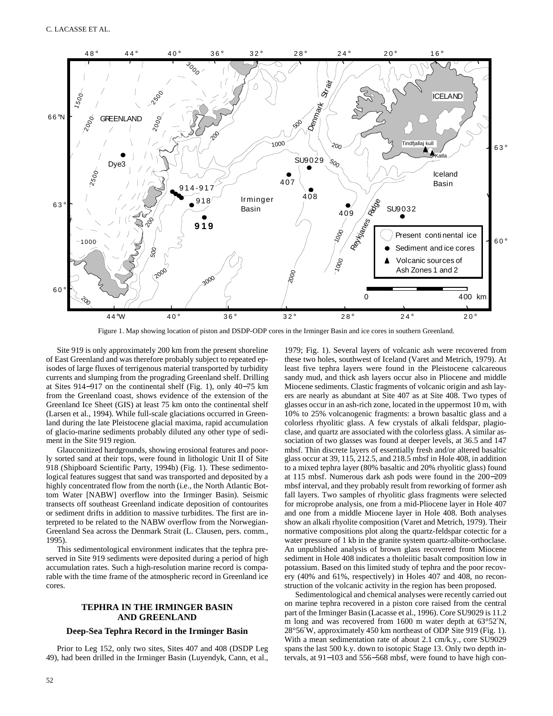

Figure 1. Map showing location of piston and DSDP-ODP cores in the Irminger Basin and ice cores in southern Greenland.

Site 919 is only approximately 200 km from the present shoreline of East Greenland and was therefore probably subject to repeated episodes of large fluxes of terrigenous material transported by turbidity currents and slumping from the prograding Greenland shelf. Drilling at Sites 914−917 on the continental shelf (Fig. 1), only 40−75 km from the Greenland coast, shows evidence of the extension of the Greenland Ice Sheet (GIS) at least 75 km onto the continental shelf (Larsen et al., 1994). While full-scale glaciations occurred in Greenland during the late Pleistocene glacial maxima, rapid accumulation of glacio-marine sediments probably diluted any other type of sediment in the Site 919 region.

Glauconitized hardgrounds, showing erosional features and poorly sorted sand at their tops, were found in lithologic Unit II of Site 918 (Shipboard Scientific Party, 1994b) (Fig. 1). These sedimentological features suggest that sand was transported and deposited by a highly concentrated flow from the north (i.e., the North Atlantic Bottom Water [NABW] overflow into the Irminger Basin). Seismic transects off southeast Greenland indicate deposition of contourites or sediment drifts in addition to massive turbidites. The first are interpreted to be related to the NABW overflow from the Norwegian-Greenland Sea across the Denmark Strait (L. Clausen, pers. comm., 1995).

This sedimentological environment indicates that the tephra preserved in Site 919 sediments were deposited during a period of high accumulation rates. Such a high-resolution marine record is comparable with the time frame of the atmospheric record in Greenland ice cores.

## **TEPHRA IN THE IRMINGER BASIN AND GREENLAND**

## **Deep-Sea Tephra Record in the Irminger Basin**

Prior to Leg 152, only two sites, Sites 407 and 408 (DSDP Leg 49), had been drilled in the Irminger Basin (Luyendyk, Cann, et al., these two holes, southwest of Iceland (Varet and Metrich, 1979). At least five tephra layers were found in the Pleistocene calcareous sandy mud, and thick ash layers occur also in Pliocene and middle Miocene sediments. Clastic fragments of volcanic origin and ash layers are nearly as abundant at Site 407 as at Site 408. Two types of glasses occur in an ash-rich zone, located in the uppermost 10 m, with 10% to 25% volcanogenic fragments: a brown basaltic glass and a colorless rhyolitic glass. A few crystals of alkali feldspar, plagioclase, and quartz are associated with the colorless glass. A similar association of two glasses was found at deeper levels, at 36.5 and 147 mbsf. Thin discrete layers of essentially fresh and/or altered basaltic glass occur at 39, 115, 212.5, and 218.5 mbsf in Hole 408, in addition to a mixed tephra layer (80% basaltic and 20% rhyolitic glass) found at 115 mbsf. Numerous dark ash pods were found in the 200−209 mbsf interval, and they probably result from reworking of former ash fall layers. Two samples of rhyolitic glass fragments were selected for microprobe analysis, one from a mid-Pliocene layer in Hole 407 and one from a middle Miocene layer in Hole 408. Both analyses show an alkali rhyolite composition (Varet and Metrich, 1979). Their normative compositions plot along the quartz-feldspar cotectic for a water pressure of 1 kb in the granite system quartz-albite-orthoclase. An unpublished analysis of brown glass recovered from Miocene sediment in Hole 408 indicates a tholeiitic basalt composition low in potassium. Based on this limited study of tephra and the poor recovery (40% and 61%, respectively) in Holes 407 and 408, no reconstruction of the volcanic activity in the region has been proposed.

1979; Fig. 1). Several layers of volcanic ash were recovered from

Sedimentological and chemical analyses were recently carried out on marine tephra recovered in a piston core raised from the central part of the Irminger Basin (Lacasse et al., 1996). Core SU9029 is 11.2 m long and was recovered from 1600 m water depth at 63°52′N, 28°56′W, approximately 450 km northeast of ODP Site 919 (Fig. 1). With a mean sedimentation rate of about 2.1 cm/k.y., core SU9029 spans the last 500 k.y. down to isotopic Stage 13. Only two depth intervals, at 91−103 and 556−568 mbsf, were found to have high con-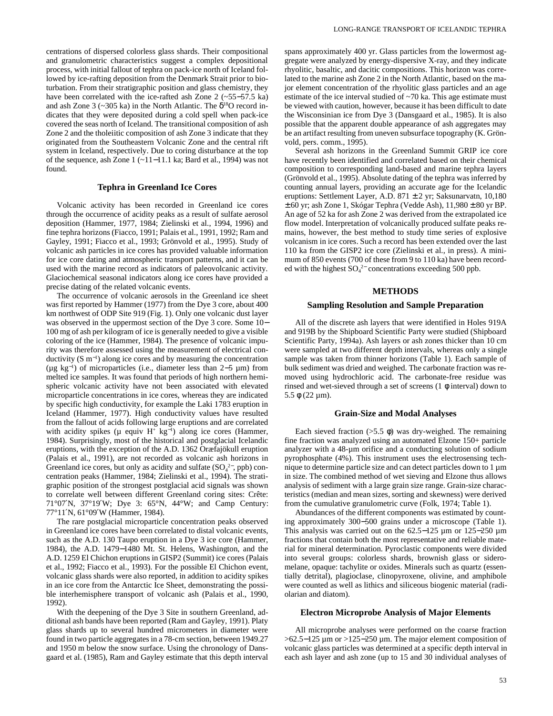centrations of dispersed colorless glass shards. Their compositional and granulometric characteristics suggest a complex depositional process, with initial fallout of tephra on pack-ice north of Iceland followed by ice-rafting deposition from the Denmark Strait prior to bioturbation. From their stratigraphic position and glass chemistry, they have been correlated with the ice-rafted ash Zone 2 (~55−57.5 ka) and ash Zone 3 (~305 ka) in the North Atlantic. The  $\delta^{18}O$  record indicates that they were deposited during a cold spell when pack-ice covered the seas north of Iceland. The transitional composition of ash Zone 2 and the tholeiitic composition of ash Zone 3 indicate that they originated from the Southeastern Volcanic Zone and the central rift system in Iceland, respectively. Due to coring disturbance at the top of the sequence, ash Zone 1 (~11−11.1 ka; Bard et al., 1994) was not found.

### **Tephra in Greenland Ice Cores**

Volcanic activity has been recorded in Greenland ice cores through the occurrence of acidity peaks as a result of sulfate aerosol deposition (Hammer, 1977, 1984; Zielinski et al., 1994, 1996) and fine tephra horizons (Fiacco, 1991; Palais et al., 1991, 1992; Ram and Gayley, 1991; Fiacco et al., 1993; Grönvold et al., 1995). Study of volcanic ash particles in ice cores has provided valuable information for ice core dating and atmospheric transport patterns, and it can be used with the marine record as indicators of paleovolcanic activity. Glaciochemical seasonal indicators along ice cores have provided a precise dating of the related volcanic events.

The occurrence of volcanic aerosols in the Greenland ice sheet was first reported by Hammer (1977) from the Dye 3 core, about 400 km northwest of ODP Site 919 (Fig. 1). Only one volcanic dust layer was observed in the uppermost section of the Dye 3 core. Some 10− 100 mg of ash per kilogram of ice is generally needed to give a visible coloring of the ice (Hammer, 1984). The presence of volcanic impurity was therefore assessed using the measurement of electrical conductivity (S m<sup>−</sup>1) along ice cores and by measuring the concentration (µg kg<sup>−</sup>1) of microparticles (i.e., diameter less than 2−5 µm) from melted ice samples. It was found that periods of high northern hemispheric volcanic activity have not been associated with elevated microparticle concentrations in ice cores, whereas they are indicated by specific high conductivity, for example the Laki 1783 eruption in Iceland (Hammer, 1977). High conductivity values have resulted from the fallout of acids following large eruptions and are correlated with acidity spikes ( $\mu$  equiv H<sup>+</sup> kg<sup>-1</sup>) along ice cores (Hammer, 1984). Surprisingly, most of the historical and postglacial Icelandic eruptions, with the exception of the A.D. 1362 Oræfajökull eruption (Palais et al., 1991), are not recorded as volcanic ash horizons in Greenland ice cores, but only as acidity and sulfate  $(SO<sub>4</sub><sup>2–</sup>, ppb)$  concentration peaks (Hammer, 1984; Zielinski et al., 1994). The stratigraphic position of the strongest postglacial acid signals was shown to correlate well between different Greenland coring sites: Crête: 71°07′N, 37°19′W; Dye 3: 65°N, 44°W; and Camp Century: 77°11′N, 61°09′W (Hammer, 1984).

The rare postglacial microparticle concentration peaks observed in Greenland ice cores have been correlated to distal volcanic events, such as the A.D. 130 Taupo eruption in a Dye 3 ice core (Hammer, 1984), the A.D. 1479−1480 Mt. St. Helens, Washington, and the A.D. 1259 El Chichon eruptions in GISP2 (Summit) ice cores (Palais et al., 1992; Fiacco et al., 1993). For the possible El Chichon event, volcanic glass shards were also reported, in addition to acidity spikes in an ice core from the Antarctic Ice Sheet, demonstrating the possible interhemisphere transport of volcanic ash (Palais et al., 1990, 1992).

With the deepening of the Dye 3 Site in southern Greenland, additional ash bands have been reported (Ram and Gayley, 1991). Platy glass shards up to several hundred micrometers in diameter were found in two particle aggregates in a 78-cm section, between 1949.27 and 1950 m below the snow surface. Using the chronology of Dansgaard et al. (1985), Ram and Gayley estimate that this depth interval spans approximately 400 yr. Glass particles from the lowermost aggregate were analyzed by energy-dispersive X-ray, and they indicate rhyolitic, basaltic, and dacitic compositions. This horizon was correlated to the marine ash Zone 2 in the North Atlantic, based on the major element concentration of the rhyolitic glass particles and an age estimate of the ice interval studied of ~70 ka. This age estimate must be viewed with caution, however, because it has been difficult to date the Wisconsinian ice from Dye 3 (Dansgaard et al., 1985). It is also possible that the apparent double appearance of ash aggregates may be an artifact resulting from uneven subsurface topography (K. Grönvold, pers. comm., 1995).

Several ash horizons in the Greenland Summit GRIP ice core have recently been identified and correlated based on their chemical composition to corresponding land-based and marine tephra layers (Grönvold et al., 1995). Absolute dating of the tephra was inferred by counting annual layers, providing an accurate age for the Icelandic eruptions: Settlement Layer, A.D. 871 ± 2 yr; Saksunarvatn, 10,180  $\pm$  60 yr; ash Zone 1, Skógar Tephra (Vedde Ash), 11,980  $\pm$  80 yr BP. An age of 52 ka for ash Zone 2 was derived from the extrapolated ice flow model. Interpretation of volcanically produced sulfate peaks remains, however, the best method to study time series of explosive volcanism in ice cores. Such a record has been extended over the last 110 ka from the GISP2 ice core (Zielinski et al., in press). A minimum of 850 events (700 of these from 9 to 110 ka) have been recorded with the highest  $SO_4^2$  concentrations exceeding 500 ppb.

### **METHODS**

#### **Sampling Resolution and Sample Preparation**

All of the discrete ash layers that were identified in Holes 919A and 919B by the Shipboard Scientific Party were studied (Shipboard Scientific Party, 1994a). Ash layers or ash zones thicker than 10 cm were sampled at two different depth intervals, whereas only a single sample was taken from thinner horizons (Table 1). Each sample of bulk sediment was dried and weighed. The carbonate fraction was removed using hydrochloric acid. The carbonate-free residue was rinsed and wet-sieved through a set of screens  $(1 \phi$  interval) down to 5.5 φ (22  $\mu$ m).

#### **Grain-Size and Modal Analyses**

Each sieved fraction  $(5.5 \phi)$  was dry-weighed. The remaining fine fraction was analyzed using an automated Elzone 150+ particle analyzer with a 48-µm orifice and a conducting solution of sodium pyrophosphate (4%). This instrument uses the electrosensing technique to determine particle size and can detect particles down to 1 µm in size. The combined method of wet sieving and Elzone thus allows analysis of sediment with a large grain size range. Grain-size characteristics (median and mean sizes, sorting and skewness) were derived from the cumulative granulometric curve (Folk, 1974; Table 1).

Abundances of the different components was estimated by counting approximately 300−500 grains under a microscope (Table 1). This analysis was carried out on the 62.5−125 µm or 125−250 µm fractions that contain both the most representative and reliable material for mineral determination. Pyroclastic components were divided into several groups: colorless shards, brownish glass or sideromelane, opaque: tachylite or oxides. Minerals such as quartz (essentially detrital), plagioclase, clinopyroxene, olivine, and amphibole were counted as well as lithics and siliceous biogenic material (radiolarian and diatom).

#### **Electron Microprobe Analysis of Major Elements**

All microprobe analyses were performed on the coarse fraction >62.5−125 µm or >125−250 µm. The major element composition of volcanic glass particles was determined at a specific depth interval in each ash layer and ash zone (up to 15 and 30 individual analyses of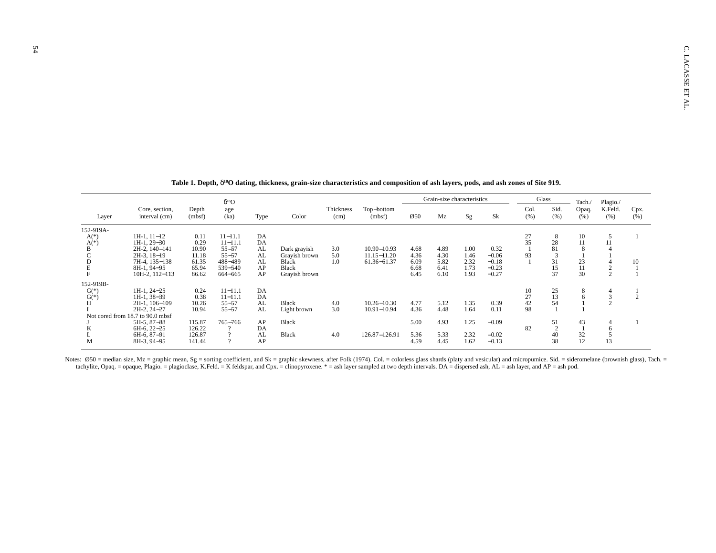|                       |                                               |                       | $\delta^{18}O$                          |                |                             |                   |                                    |                  | Grain-size characteristics |              |                    | Glass           |                      | Tach./        | Plagio./        |              |
|-----------------------|-----------------------------------------------|-----------------------|-----------------------------------------|----------------|-----------------------------|-------------------|------------------------------------|------------------|----------------------------|--------------|--------------------|-----------------|----------------------|---------------|-----------------|--------------|
| Layer                 | Core, section,<br>interval (cm)               | Depth<br>(mbsf)       | age<br>(ka)                             | Type           | Color                       | Thickness<br>(cm) | Top-bottom<br>(mbsf)               | $\varnothing$ 50 | Mz                         | Sg           | Sk                 | Col.<br>(% )    | Sid.<br>(% )         | Opaq.<br>(% ) | K.Feld.<br>(% ) | Cpx.<br>(% ) |
| 152-919A-             |                                               |                       |                                         |                |                             |                   |                                    |                  |                            |              |                    |                 |                      |               |                 |              |
| $A(*)$<br>$A(*)$<br>В | $1H-1.11-12$<br>$1H-1.29-30$<br>2H-2, 140-141 | 0.11<br>0.29<br>10.90 | $11 - 11.1$<br>$11 - 11.1$<br>$55 - 57$ | DA<br>DA<br>AL | Dark grayish                | 3.0               | $10.90 - 10.93$                    | 4.68             | 4.89                       | 1.00         | 0.32               | $\frac{27}{35}$ | 8<br>28<br>81        | 10<br>8       | 11              |              |
| D                     | 2H-3, 18-19<br>7H-4, 135-138                  | 11.18<br>61.35        | $55 - 57$<br>488-489                    | AL<br>AL       | Gravish brown<br>Black      | 5.0<br>1.0        | $11.15 - 11.20$<br>61.36-61.37     | 4.36<br>6.09     | 4.30<br>5.82               | 1.46<br>2.32 | $-0.06$<br>$-0.18$ | 93              | 31                   | 23            |                 | 10           |
| E<br>F                | 8H-1, 94-95<br>$10H-2$ , $112-113$            | 65.94<br>86.62        | 539-540<br>664-665                      | AP<br>AP       | Black<br>Grayish brown      |                   |                                    | 6.68<br>6.45     | 6.41<br>6.10               | 1.73<br>1.93 | $-0.23$<br>$-0.27$ |                 | 15<br>37             | 11<br>30      | $\overline{c}$  |              |
| 152-919B-             |                                               |                       |                                         |                |                             |                   |                                    |                  |                            |              |                    |                 |                      |               |                 |              |
| $G(*)$<br>$G(*)$      | 1H-1, 24-25<br>$1H-1.38-39$                   | 0.24<br>0.38          | $11 - 11.1$<br>$11 - 11.1$              | DA<br>DA       |                             |                   |                                    |                  |                            |              |                    | 10<br>27        | $\frac{25}{13}$      | 8<br>6        | 3               | $\sim$       |
| H                     | 2H-1, 106-109<br>2H-2, 24-27                  | 10.26<br>10.94        | $55 - 57$<br>$55 - 57$                  | AL<br>AL       | <b>Black</b><br>Light brown | 4.0<br>3.0        | $10.26 - 10.30$<br>$10.91 - 10.94$ | 4.77<br>4.36     | 5.12<br>4.48               | 1.35<br>1.64 | 0.39<br>0.11       | 42<br>98        | 54                   |               |                 |              |
|                       | Not cored from 18.7 to 90.0 mbsf              |                       |                                         |                |                             |                   |                                    |                  |                            |              |                    |                 |                      |               |                 |              |
|                       | 5H-5, 87-88<br>$6H-6$ , $22-25$               | 115.87<br>126.22      | 765-766                                 | AP<br>DA       | <b>Black</b>                |                   |                                    | 5.00             | 4.93                       | 1.25         | $-0.09$            | 82              | 51<br>$\overline{2}$ | 43            | 4<br>6          |              |
| r.<br>M               | 6H-6, 87-91<br>8H-3, 94-95                    | 126.87<br>141.44      |                                         | AL<br>AP       | <b>Black</b>                | 4.0               | 126.87-126.91                      | 5.36<br>4.59     | 5.33<br>4.45               | 2.32<br>1.62 | $-0.02$<br>$-0.13$ |                 | 40<br>38             | 32<br>12      | 13              |              |

**Table 1. Depth,** δ**18O dating, thickness, grain-size characteristics and composition of ash layers, pods, and ash zones of Site 919.**

Notes: Ø50 = median size, Mz = graphic mean, Sg = sorting coefficient, and Sk = graphic skewness, after Folk (1974). Col. = colorless glass shards (platy and vesicular) and micropumice. Sid. = sideromelane (brownish glass)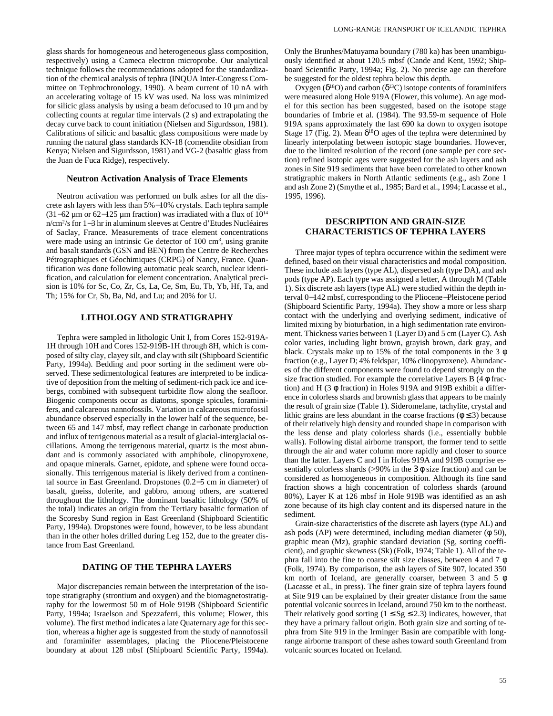glass shards for homogeneous and heterogeneous glass composition, respectively) using a Cameca electron microprobe. Our analytical technique follows the recommendations adopted for the standardization of the chemical analysis of tephra (INQUA Inter-Congress Committee on Tephrochronology, 1990). A beam current of 10 nA with an accelerating voltage of 15 kV was used. Na loss was minimized for silicic glass analysis by using a beam defocused to 10 µm and by collecting counts at regular time intervals (2 s) and extrapolating the decay curve back to count initiation (Nielsen and Sigurdsson, 1981). Calibrations of silicic and basaltic glass compositions were made by running the natural glass standards KN-18 (comendite obsidian from Kenya; Nielsen and Sigurdsson, 1981) and VG-2 (basaltic glass from the Juan de Fuca Ridge), respectively.

## **Neutron Activation Analysis of Trace Elements**

Neutron activation was performed on bulk ashes for all the discrete ash layers with less than 5%−10% crystals. Each tephra sample (31−62 µm or 62−125 µm fraction) was irradiated with a flux of 1014 n/cm2/s for 1−3 hr in aluminum sleeves at Centre d'Etudes Nucléaires of Saclay, France. Measurements of trace element concentrations were made using an intrinsic Ge detector of 100 cm<sup>3</sup>, using granite and basalt standards (GSN and BEN) from the Centre de Recherches Pétrographiques et Géochimiques (CRPG) of Nancy, France. Quantification was done following automatic peak search, nuclear identification, and calculation for element concentration. Analytical precision is 10% for Sc, Co, Zr, Cs, La, Ce, Sm, Eu, Tb, Yb, Hf, Ta, and Th; 15% for Cr, Sb, Ba, Nd, and Lu; and 20% for U.

## **LITHOLOGY AND STRATIGRAPHY**

Tephra were sampled in lithologic Unit I, from Cores 152-919A-1H through 10H and Cores 152-919B-1H through 8H, which is composed of silty clay, clayey silt, and clay with silt (Shipboard Scientific Party, 1994a). Bedding and poor sorting in the sediment were observed. These sedimentological features are interpreted to be indicative of deposition from the melting of sediment-rich pack ice and icebergs, combined with subsequent turbidite flow along the seafloor. Biogenic components occur as diatoms, sponge spicules, foraminifers, and calcareous nannofossils. Variation in calcareous microfossil abundance observed especially in the lower half of the sequence, between 65 and 147 mbsf, may reflect change in carbonate production and influx of terrigenous material as a result of glacial-interglacial oscillations. Among the terrigenous material, quartz is the most abundant and is commonly associated with amphibole, clinopyroxene, and opaque minerals. Garnet, epidote, and sphene were found occasionally. This terrigenous material is likely derived from a continental source in East Greenland. Dropstones (0.2−5 cm in diameter) of basalt, gneiss, dolerite, and gabbro, among others, are scattered throughout the lithology. The dominant basaltic lithology (50% of the total) indicates an origin from the Tertiary basaltic formation of the Scoresby Sund region in East Greenland (Shipboard Scientific Party, 1994a). Dropstones were found, however, to be less abundant than in the other holes drilled during Leg 152, due to the greater distance from East Greenland.

## **DATING OF THE TEPHRA LAYERS**

Major discrepancies remain between the interpretation of the isotope stratigraphy (strontium and oxygen) and the biomagnetostratigraphy for the lowermost 50 m of Hole 919B (Shipboard Scientific Party, 1994a; Israelson and Spezzaferri, this volume; Flower, this volume). The first method indicates a late Quaternary age for this section, whereas a higher age is suggested from the study of nannofossil and foraminifer assemblages, placing the Pliocene/Pleistocene boundary at about 128 mbsf (Shipboard Scientific Party, 1994a). Only the Brunhes/Matuyama boundary (780 ka) has been unambiguously identified at about 120.5 mbsf (Cande and Kent, 1992; Shipboard Scientific Party, 1994a; Fig. 2). No precise age can therefore be suggested for the oldest tephra below this depth.

Oxygen ( $\delta^{18}$ O) and carbon ( $\delta^{13}$ C) isotope contents of foraminifers were measured along Hole 919A (Flower, this volume). An age model for this section has been suggested, based on the isotope stage boundaries of Imbrie et al. (1984). The 93.59-m sequence of Hole 919A spans approximately the last 690 ka down to oxygen isotope Stage 17 (Fig. 2). Mean  $\delta^{18}O$  ages of the tephra were determined by linearly interpolating between isotopic stage boundaries. However, due to the limited resolution of the record (one sample per core section) refined isotopic ages were suggested for the ash layers and ash zones in Site 919 sediments that have been correlated to other known stratigraphic makers in North Atlantic sediments (e.g., ash Zone 1 and ash Zone 2) (Smythe et al., 1985; Bard et al., 1994; Lacasse et al., 1995, 1996).

## **DESCRIPTION AND GRAIN-SIZE CHARACTERISTICS OF TEPHRA LAYERS**

Three major types of tephra occurrence within the sediment were defined, based on their visual characteristics and modal composition. These include ash layers (type AL), dispersed ash (type DA), and ash pods (type AP). Each type was assigned a letter, A through M (Table 1). Six discrete ash layers (type AL) were studied within the depth interval 0−142 mbsf, corresponding to the Pliocene−Pleistocene period (Shipboard Scientific Party, 1994a). They show a more or less sharp contact with the underlying and overlying sediment, indicative of limited mixing by bioturbation, in a high sedimentation rate environment. Thickness varies between 1 (Layer D) and 5 cm (Layer C). Ash color varies, including light brown, grayish brown, dark gray, and black. Crystals make up to 15% of the total components in the 3 φ fraction (e.g., Layer D; 4% feldspar, 10% clinopyroxene). Abundances of the different components were found to depend strongly on the size fraction studied. For example the correlative Layers B  $(4 \phi$  fraction) and H (3 φ fraction) in Holes 919A and 919B exhibit a difference in colorless shards and brownish glass that appears to be mainly the result of grain size (Table 1). Sideromelane, tachylite, crystal and lithic grains are less abundant in the coarse fractions ( $\phi \leq 3$ ) because of their relatively high density and rounded shape in comparison with the less dense and platy colorless shards (i.e., essentially bubble walls). Following distal airborne transport, the former tend to settle through the air and water column more rapidly and closer to source than the latter. Layers C and I in Holes 919A and 919B comprise essentially colorless shards  $(>90\%$  in the 3  $\phi$  size fraction) and can be considered as homogeneous in composition. Although its fine sand fraction shows a high concentration of colorless shards (around 80%), Layer K at 126 mbsf in Hole 919B was identified as an ash zone because of its high clay content and its dispersed nature in the sediment.

Grain-size characteristics of the discrete ash layers (type AL) and ash pods (AP) were determined, including median diameter (φ 50), graphic mean (Mz), graphic standard deviation (Sg, sorting coefficient), and graphic skewness (Sk) (Folk, 1974; Table 1). All of the tephra fall into the fine to coarse silt size classes, between 4 and 7 φ (Folk, 1974). By comparison, the ash layers of Site 907, located 350 km north of Iceland, are generally coarser, between 3 and 5 φ (Lacasse et al., in press). The finer grain size of tephra layers found at Site 919 can be explained by their greater distance from the same potential volcanic sources in Iceland, around 750 km to the northeast. Their relatively good sorting  $(1 \leq Sg \leq 2.3)$  indicates, however, that they have a primary fallout origin. Both grain size and sorting of tephra from Site 919 in the Irminger Basin are compatible with longrange airborne transport of these ashes toward south Greenland from volcanic sources located on Iceland.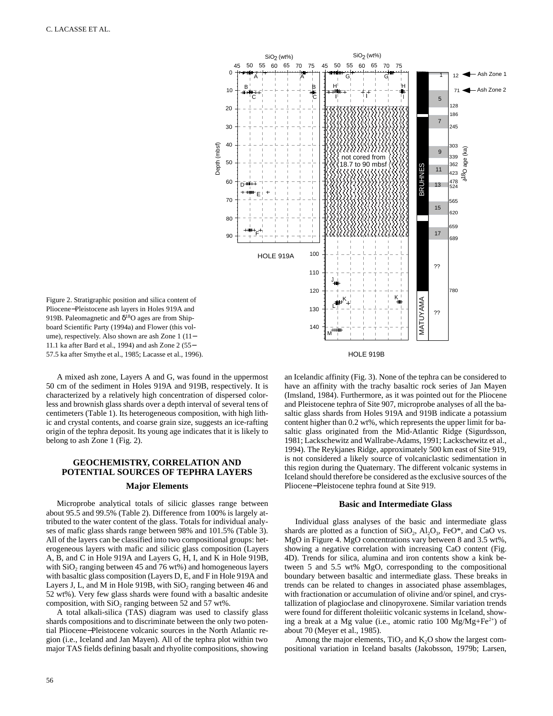

Figure 2. Stratigraphic position and silica content of Pliocene−Pleistocene ash layers in Holes 919A and 919B. Paleomagnetic and  $\delta^{18}O$  ages are from Shipboard Scientific Party (1994a) and Flower (this volume), respectively. Also shown are ash Zone 1 (11− 11.1 ka after Bard et al., 1994) and ash Zone 2 (55− 57.5 ka after Smythe et al., 1985; Lacasse et al., 1996).

A mixed ash zone, Layers A and G, was found in the uppermost 50 cm of the sediment in Holes 919A and 919B, respectively. It is characterized by a relatively high concentration of dispersed colorless and brownish glass shards over a depth interval of several tens of centimeters (Table 1). Its heterogeneous composition, with high lithic and crystal contents, and coarse grain size, suggests an ice-rafting origin of the tephra deposit. Its young age indicates that it is likely to belong to ash Zone 1 (Fig. 2).

# **GEOCHEMISTRY, CORRELATION AND POTENTIAL SOURCES OF TEPHRA LAYERS**

## **Major Elements**

Microprobe analytical totals of silicic glasses range between about 95.5 and 99.5% (Table 2). Difference from 100% is largely attributed to the water content of the glass. Totals for individual analyses of mafic glass shards range between 98% and 101.5% (Table 3). All of the layers can be classified into two compositional groups: heterogeneous layers with mafic and silicic glass composition (Layers A, B, and C in Hole 919A and Layers G, H, I, and K in Hole 919B, with  $SiO<sub>2</sub>$  ranging between 45 and 76 wt%) and homogeneous layers with basaltic glass composition (Layers D, E, and F in Hole 919A and Layers J, L, and M in Hole 919B, with  $SiO<sub>2</sub>$  ranging between 46 and 52 wt%). Very few glass shards were found with a basaltic andesite composition, with  $SiO<sub>2</sub>$  ranging between 52 and 57 wt%.

A total alkali-silica (TAS) diagram was used to classify glass shards compositions and to discriminate between the only two potential Pliocene−Pleistocene volcanic sources in the North Atlantic region (i.e., Iceland and Jan Mayen). All of the tephra plot within two major TAS fields defining basalt and rhyolite compositions, showing an Icelandic affinity (Fig. 3). None of the tephra can be considered to have an affinity with the trachy basaltic rock series of Jan Mayen (Imsland, 1984). Furthermore, as it was pointed out for the Pliocene and Pleistocene tephra of Site 907, microprobe analyses of all the basaltic glass shards from Holes 919A and 919B indicate a potassium content higher than 0.2 wt%, which represents the upper limit for basaltic glass originated from the Mid-Atlantic Ridge (Sigurdsson, 1981; Lackschewitz and Wallrabe-Adams, 1991; Lackschewitz et al., 1994). The Reykjanes Ridge, approximately 500 km east of Site 919, is not considered a likely source of volcaniclastic sedimentation in this region during the Quaternary. The different volcanic systems in Iceland should therefore be considered as the exclusive sources of the Pliocene−Pleistocene tephra found at Site 919.

#### **Basic and Intermediate Glass**

Individual glass analyses of the basic and intermediate glass shards are plotted as a function of  $SiO_2$ ,  $Al_2O_3$ ,  $FeO^*$ , and CaO vs. MgO in Figure 4. MgO concentrations vary between 8 and 3.5 wt%, showing a negative correlation with increasing CaO content (Fig. 4D). Trends for silica, alumina and iron contents show a kink between 5 and 5.5 wt% MgO, corresponding to the compositional boundary between basaltic and intermediate glass. These breaks in trends can be related to changes in associated phase assemblages, with fractionation or accumulation of olivine and/or spinel, and crystallization of plagioclase and clinopyroxene. Similar variation trends were found for different tholeiitic volcanic systems in Iceland, showing a break at a Mg value (i.e., atomic ratio 100 Mg/Mg+Fe2+) of about 70 (Meyer et al., 1985).

Among the major elements,  $TiO<sub>2</sub>$  and  $K<sub>2</sub>O$  show the largest compositional variation in Iceland basalts (Jakobsson, 1979b; Larsen,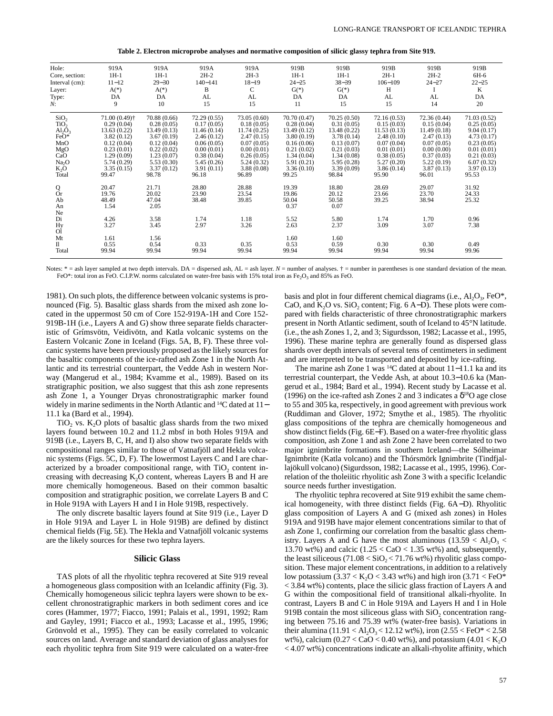| Table 2. Electron microprobe analyses and normative composition of silicic glassy tephra from Site 919. |  |  |  |
|---------------------------------------------------------------------------------------------------------|--|--|--|
|                                                                                                         |  |  |  |

| Hole:<br>Core, section:<br>Interval (cm):<br>Layer: | 919A<br>$1H-1$<br>$11 - 12$<br>$A(*)$ | 919A<br>$1H-1$<br>$29 - 30$<br>$A(*)$ | 919A<br>$2H-2$<br>$140 - 141$<br>B | 919A<br>$2H-3$<br>$18 - 19$<br>$\mathbf C$ | 919B<br>$1H-1$<br>$24 - 25$<br>$G(*)$ | 919B<br>$1H-1$<br>$38 - 39$<br>$G(*)$ | 919B<br>$2H-1$<br>$106 - 109$<br>H | 919B<br>$2H-2$<br>$24 - 27$ | 919B<br>6H-6<br>$22 - 25$<br>$\mathbf K$ |
|-----------------------------------------------------|---------------------------------------|---------------------------------------|------------------------------------|--------------------------------------------|---------------------------------------|---------------------------------------|------------------------------------|-----------------------------|------------------------------------------|
| Type:                                               | DA                                    | DA                                    | AL                                 | AL                                         | DA                                    | DA                                    | AL                                 | AL                          | DA                                       |
| N:                                                  | 9                                     | 10                                    | 15                                 | 15                                         | 11                                    | 15                                    | 15                                 | 14                          | 20                                       |
| SiO <sub>2</sub>                                    | $71.00(0.49)$ †                       | 70.88(0.66)                           | 72.29(0.55)                        | 73.05(0.60)                                | 70.70 (0.47)                          | 70.25(0.50)                           | 72.16(0.53)                        | 72.36 (0.44)                | 71.03(0.52)                              |
| TiO <sub>2</sub>                                    | 0.29(0.04)                            | 0.28(0.05)                            | 0.17(0.05)                         | 0.18(0.05)                                 | 0.28(0.04)                            | 0.31(0.05)                            | 0.15(0.03)                         | 0.15(0.04)                  | 0.25(0.05)                               |
| $Al_2O_3$                                           | 13.63(0.22)                           | 13.49(0.13)                           | 11.46(0.14)                        | 11.74(0.25)                                | 13.49 (0.12)                          | 13.48 (0.22)                          | 11.53(0.13)                        | 11.49(0.18)                 | 9.04(0.17)                               |
| $FeO*$                                              | 3.82(0.12)                            | 3.67(0.19)                            | 2.46(0.12)                         | 2.47(0.15)                                 | 3.80(0.19)                            | 3.78(0.14)                            | 2.48(0.10)                         | 2.47(0.13)                  | 4.73(0.17)                               |
| MnO                                                 | 0.12(0.04)                            | 0.12(0.04)                            | 0.06(0.05)                         | 0.07(0.05)                                 | 0.16(0.06)                            | 0.13(0.07)                            | 0.07(0.04)                         | 0.07(0.05)                  | 0.23(0.05)                               |
| MgO                                                 | 0.23(0.01)                            | 0.22(0.02)                            | 0.00(0.01)                         | 0.00(0.01)                                 | 0.21(0.02)                            | 0.21(0.03)                            | 0.01(0.01)                         | 0.00(0.00)                  | 0.01(0.01)                               |
| Ca <sup>o</sup>                                     | 1.29(0.09)                            | 1.23(0.07)                            | 0.38(0.04)                         | 0.26(0.05)                                 | 1.34(0.04)                            | 1.34(0.08)                            | 0.38(0.05)                         | 0.37(0.03)                  | 0.21(0.03)                               |
| Na <sub>2</sub> O                                   | 5.74(0.29)                            | 5.53(0.30)                            | 5.45(0.26)                         | 5.24(0.32)                                 | 5.91(0.21)                            | 5.95(0.28)                            | 5.27(0.20)                         | 5.22(0.19)                  | 6.07(0.32)                               |
| $K_2O$                                              | 3.35(0.15)                            | 3.37(0.12)                            | 3.91(0.11)                         | 3.88(0.08)                                 | 3.36(0.10)                            | 3.39(0.09)                            | 3.86(0.14)                         | 3.87(0.13)                  | 3.97(0.13)                               |
| Total                                               | 99.47                                 | 98.78                                 | 96.18                              | 96.89                                      | 99.25                                 | 98.84                                 | 95.90                              | 96.01                       | 95.53                                    |
| $\frac{Q}{Or}$<br>Ab<br>An<br>Ne                    | 20.47<br>19.76<br>48.49<br>1.54       | 21.71<br>20.02<br>47.04<br>2.05       | 28.80<br>23.90<br>38.48            | 28.88<br>23.54<br>39.85                    | 19.39<br>19.86<br>50.04<br>0.37       | 18.80<br>20.12<br>50.58<br>0.07       | 28.69<br>23.66<br>39.25            | 29.07<br>23.70<br>38.94     | 31.92<br>24.33<br>25.32                  |
| Di<br>$\frac{Hy}{Ol}$<br>Mt                         | 4.26<br>3.27<br>1.61                  | 3.58<br>3.45<br>1.56                  | 1.74<br>2.97                       | 1.18<br>3.26                               | 5.52<br>2.63<br>1.60                  | 5.80<br>2.37<br>1.60                  | 1.74<br>3.09                       | 1.70<br>3.07                | 0.96<br>7.38                             |
| $\mathbf{I}$                                        | 0.55                                  | 0.54                                  | 0.33                               | 0.35                                       | 0.53                                  | 0.59                                  | 0.30                               | 0.30                        | 0.49                                     |
| Total                                               | 99.94                                 | 99.94                                 | 99.94                              | 99.94                                      | 99.94                                 | 99.94                                 | 99.94                              | 99.94                       | 99.96                                    |

Notes:  $* =$  ash layer sampled at two depth intervals. DA = dispersed ash, AL = ash layer. *N* = number of analyses,  $\dagger$  = number in parentheses is one standard deviation of the mean. FeO\*: total iron as FeO. C.I.P.W. norms calculated on water-free basis with 15% total iron as Fe<sub>2</sub>O<sub>3</sub> and 85% as FeO.

1981). On such plots, the difference between volcanic systems is pronounced (Fig. 5). Basaltic glass shards from the mixed ash zone located in the uppermost 50 cm of Core 152-919A-1H and Core 152- 919B-1H (i.e., Layers A and G) show three separate fields characteristic of Grímsvötn, Veidivötn, and Katla volcanic systems on the Eastern Volcanic Zone in Iceland (Figs. 5A, B, F). These three volcanic systems have been previously proposed as the likely sources for the basaltic components of the ice-rafted ash Zone 1 in the North Atlantic and its terrestrial counterpart, the Vedde Ash in western Norway (Mangerud et al., 1984; Kvamme et al., 1989). Based on its stratigraphic position, we also suggest that this ash zone represents ash Zone 1, a Younger Dryas chronostratigraphic marker found widely in marine sediments in the North Atlantic and 14C dated at 11− 11.1 ka (Bard et al., 1994).

TiO<sub>2</sub> vs. K<sub>2</sub>O plots of basaltic glass shards from the two mixed layers found between 10.2 and 11.2 mbsf in both Holes 919A and 919B (i.e., Layers B, C, H, and I) also show two separate fields with compositional ranges similar to those of Vatnafjöll and Hekla volcanic systems (Figs. 5C, D, F). The lowermost Layers C and I are characterized by a broader compositional range, with  $TiO<sub>2</sub>$  content increasing with decreasing  $K_2O$  content, whereas Layers B and H are more chemically homogeneous. Based on their common basaltic composition and stratigraphic position, we correlate Layers B and C in Hole 919A with Layers H and I in Hole 919B, respectively.

The only discrete basaltic layers found at Site 919 (i.e., Layer D in Hole 919A and Layer L in Hole 919B) are defined by distinct chemical fields (Fig. 5E). The Hekla and Vatnafjöll volcanic systems are the likely sources for these two tephra layers.

#### **Silicic Glass**

TAS plots of all the rhyolitic tephra recovered at Site 919 reveal a homogeneous glass composition with an Icelandic affinity (Fig. 3). Chemically homogeneous silicic tephra layers were shown to be excellent chronostratigraphic markers in both sediment cores and ice cores (Hammer, 1977; Fiacco, 1991; Palais et al., 1991, 1992; Ram and Gayley, 1991; Fiacco et al., 1993; Lacasse et al., 1995, 1996; Grönvold et al., 1995). They can be easily correlated to volcanic sources on land. Average and standard deviation of glass analyses for each rhyolitic tephra from Site 919 were calculated on a water-free basis and plot in four different chemical diagrams (i.e.,  $Al_2O_3$ , FeO\*, CaO, and  $K_2O$  vs. SiO<sub>2</sub> content; Fig. 6 A–D). These plots were compared with fields characteristic of three chronostratigraphic markers present in North Atlantic sediment, south of Iceland to 45°N latitude. (i.e., the ash Zones 1, 2, and 3; Sigurdsson, 1982; Lacasse et al., 1995, 1996). These marine tephra are generally found as dispersed glass shards over depth intervals of several tens of centimeters in sediment and are interpreted to be transported and deposited by ice-rafting.

The marine ash Zone 1 was <sup>14</sup>C dated at about 11−11.1 ka and its terrestrial counterpart, the Vedde Ash, at about 10.3−10.6 ka (Mangerud et al., 1984; Bard et al., 1994). Recent study by Lacasse et al. (1996) on the ice-rafted ash Zones 2 and 3 indicates a  $\delta^{18}$ O age close to 55 and 305 ka, respectively, in good agreement with previous work (Ruddiman and Glover, 1972; Smythe et al., 1985). The rhyolitic glass compositions of the tephra are chemically homogeneous and show distinct fields (Fig. 6E−F). Based on a water-free rhyolitic glass composition, ash Zone 1 and ash Zone 2 have been correlated to two major ignimbrite formations in southern Iceland—the Sólheimar Ignimbrite (Katla volcano) and the Thórsmörk Ignimbrite (Tindfjallajökull volcano) (Sigurdsson, 1982; Lacasse et al., 1995, 1996). Correlation of the tholeiitic rhyolitic ash Zone 3 with a specific Icelandic source needs further investigation.

The rhyolitic tephra recovered at Site 919 exhibit the same chemical homogeneity, with three distinct fields (Fig. 6A−D). Rhyolitic glass composition of Layers A and G (mixed ash zones) in Holes 919A and 919B have major element concentrations similar to that of ash Zone 1, confirming our correlation from the basaltic glass chemistry. Layers A and G have the most aluminous (13.59  $\langle$  Al<sub>2</sub>O<sub>3</sub>  $\langle$ 13.70 wt%) and calcic  $(1.25 < CaO < 1.35$  wt%) and, subsequently, the least siliceous  $(71.08 < SiO<sub>2</sub> < 71.76 wt%)$  rhyolitic glass composition. These major element concentrations, in addition to a relatively low potassium  $(3.37 < K_2O < 3.43$  wt%) and high iron  $(3.71 < FeO^*$ < 3.84 wt%) contents, place the silicic glass fraction of Layers A and G within the compositional field of transitional alkali-rhyolite. In contrast, Layers B and C in Hole 919A and Layers H and I in Hole 919B contain the most siliceous glass with  $SiO<sub>2</sub>$  concentration ranging between 75.16 and 75.39 wt% (water-free basis). Variations in their alumina (11.91 < Al<sub>2</sub>O<sub>3</sub> < 12.12 wt%), iron (2.55 < FeO\* < 2.58 wt%), calcium (0.27 < CaO < 0.40 wt%), and potassium (4.01 < K<sub>2</sub>O  $<$  4.07 wt%) concentrations indicate an alkali-rhyolite affinity, which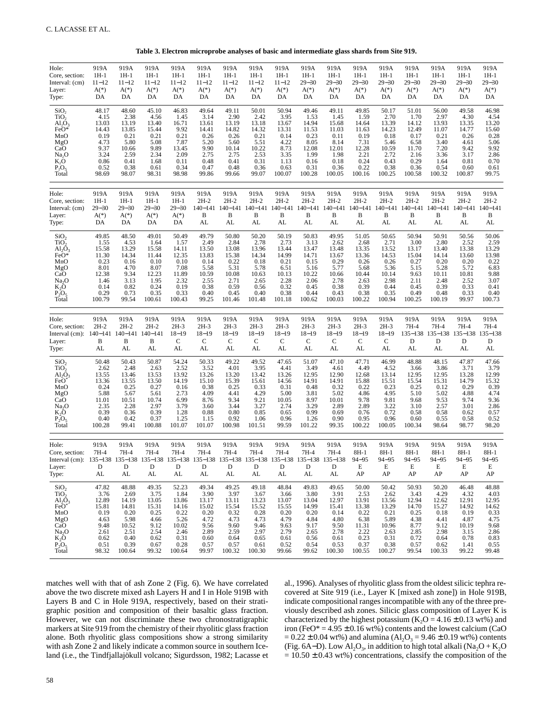**Table 3. Electron microprobe analyses of basic and intermediate glass shards from Site 919.**

| Hole:                                                                                                                                        | 919A                                        | 919A                                         | 919A                                        | 919A                                        | 919A                                   | 919A                                     | 919A                                   | 919A                                         | 919A                                     | 919A                                     | 919A                                     | 919A                                     | 919A                                         | 919A                                 | 919A                                               | 919A                                     |
|----------------------------------------------------------------------------------------------------------------------------------------------|---------------------------------------------|----------------------------------------------|---------------------------------------------|---------------------------------------------|----------------------------------------|------------------------------------------|----------------------------------------|----------------------------------------------|------------------------------------------|------------------------------------------|------------------------------------------|------------------------------------------|----------------------------------------------|--------------------------------------|----------------------------------------------------|------------------------------------------|
| Core, section:                                                                                                                               | $1H-1$                                      | $1H-1$                                       | $1H-1$                                      | $1H-1$                                      | $1H-1$                                 | $1H-1$                                   | $1H-1$                                 | $1H-1$                                       | $1H-1$                                   | $1H-1$                                   | $1H-1$                                   | $1H-1$                                   | $1H-1$                                       | $1H-1$                               | $1H-1$                                             | $1H-1$                                   |
| Interval: (cm)                                                                                                                               | $11 - 12$                                   | $11 - 12$                                    | $11 - 12$                                   | $11 - 12$                                   | $11 - 12$                              | $11 - 12$                                | $11 - 12$                              | $11 - 12$                                    | $29 - 30$                                | $29 - 30$                                | $29 - 30$                                | $29 - 30$                                | $29 - 30$                                    | $29 - 30$                            | $29 - 30$                                          | $29 - 30$                                |
| Layer:                                                                                                                                       | $A(*)$                                      | $A(*)$                                       | $A(*)$                                      | $A(*)$                                      | $A(*)$                                 | $A(*)$                                   | $A(*)$                                 | $A(*)$                                       | $A(*)$                                   | $A(*)$                                   | $A(*)$                                   | $A(*)$                                   | $A(*)$                                       | $A(*)$                               | $A(*)$                                             | $A(*)$                                   |
| Type:                                                                                                                                        | DA                                          | DA                                           | DA                                          | DA                                          | DA                                     | DA                                       | DA                                     | DA                                           | DA                                       | DA                                       | DA                                       | DA                                       | DA                                           | DA                                   | DA                                                 | DA                                       |
| SiO <sub>2</sub>                                                                                                                             | 48.17                                       | 48.60                                        | 45.10                                       | 46.83                                       | 49.64                                  | 49.11                                    | 50.01                                  | 50.94                                        | 49.46                                    | 49.11                                    | 49.85                                    | 50.17                                    | 51.01                                        | 56.00                                | 49.58                                              | 46.98                                    |
| TiO <sub>2</sub>                                                                                                                             | 4.15                                        | 2.38                                         | 4.56                                        | 1.45                                        | 3.14                                   | 2.90                                     | 2.42                                   | 3.95                                         | 1.53                                     | 1.45                                     | 1.59                                     | 2.70                                     | 1.70                                         | 2.97                                 | 4.30                                               | 4.54                                     |
| $AI_2O_3$                                                                                                                                    | 13.03                                       | 13.19                                        | 13.40                                       | 16.71                                       | 13.61                                  | 13.19                                    | 13.18                                  | 13.67                                        | 14.94                                    | 15.68                                    | 14.64                                    | 13.39                                    | 14.12                                        | 13.93                                | 13.35                                              | 13.20                                    |
| FeO*                                                                                                                                         | 14.43                                       | 13.85                                        | 15.44                                       | 9.92                                        | 14.41                                  | 14.82                                    | 14.32                                  | 13.31                                        | 11.53                                    | 11.03                                    | 11.63                                    | 14.23                                    | 12.49                                        | 11.07                                | 14.77                                              | 15.60                                    |
| MnO                                                                                                                                          | 0.19                                        | 0.21                                         | 0.21                                        | 0.21                                        | 0.26                                   | 0.26                                     | 0.21                                   | 0.14                                         | 0.23                                     | 0.11                                     | 0.19                                     | 0.18                                     | 0.17                                         | 0.21                                 | 0.26                                               | 0.28                                     |
| MgO                                                                                                                                          | 4.73                                        | 5.80                                         | 5.08                                        | 7.87                                        | 5.20                                   | 5.60                                     | 5.51                                   | 4.22                                         | 8.05                                     | 8.14                                     | 7.31                                     | 5.46                                     | 6.58                                         | 3.40                                 | 4.61                                               | 5.06                                     |
| CaO                                                                                                                                          | 9.37                                        | 10.66                                        | 9.89                                        | 13.45                                       | 9.90                                   | 10.14                                    | 10.22                                  | 8.73                                         | 12.08                                    | 12.01                                    | 12.28                                    | 10.59                                    | 11.70                                        | 7.20                                 | 9.42                                               | 9.92                                     |
| Na <sub>2</sub> O                                                                                                                            | 3.24                                        | 2.59                                         | 2.34                                        | 2.09                                        | 2.75                                   | 2.75                                     | 2.53                                   | 3.35                                         | 1.99                                     | 1.98                                     | 2.21                                     | 2.72                                     | 2.16                                         | 3.36                                 | 3.17                                               | 2.86                                     |
| K, O                                                                                                                                         | 0.86                                        | 0.41                                         | 1.68                                        | 0.11                                        | 0.48                                   | 0.41                                     | 0.31                                   | 1.13                                         | 0.16                                     | 0.18                                     | 0.24                                     | 0.43                                     | 0.29                                         | 1.64                                 | 0.81                                               | 0.70                                     |
| $P_2O_5$                                                                                                                                     | 0.52                                        | 0.38                                         | 0.61                                        | 0.34                                        | 0.47                                   | 0.48                                     | 0.36                                   | 0.63                                         | 0.31                                     | 0.36                                     | 0.22                                     | 0.38                                     | 0.36                                         | 0.54                                 | 0.60                                               | 0.61                                     |
| Total                                                                                                                                        | 98.69                                       | 98.07                                        | 98.31                                       | 98.98                                       | 99.86                                  | 99.66                                    | 99.07                                  | 100.07                                       | 100.28                                   | 100.05                                   | 100.16                                   | 100.25                                   | 100.58                                       | 100.32                               | 100.87                                             | 99.75                                    |
| Hole:<br>Core, section:<br>Interval: (cm)<br>Layer:<br>Type:                                                                                 | 919A<br>$1H-1$<br>$29 - 30$<br>$A(*)$<br>DA | 919A<br>$1H-1$<br>$29 - 30$<br>$A(*)$<br>DA  | 919A<br>$1H-1$<br>$29 - 30$<br>$A(*)$<br>DA | 919A<br>$1H-1$<br>$29 - 30$<br>$A(*)$<br>DA | 919A<br>$2H-2$<br>140-141<br>B<br>AL   | 919A<br>$2H-2$<br>$140 - 141$<br>B<br>AL | 919A<br>$2H-2$<br>B<br>AL              | 919A<br>$2H-2$<br>140-141 140-141<br>B<br>AL | 919A<br>$2H-2$<br>$140 - 141$<br>B<br>AL | 919A<br>$2H-2$<br>$140 - 141$<br>B<br>AL | 919A<br>$2H-2$<br>$140 - 141$<br>B<br>AL | 919A<br>$2H-2$<br>$140 - 141$<br>B<br>AL | 919A<br>$2H-2$<br>140-141 140-141<br>B<br>AL | 919A<br>$2H-2$<br>B<br>AL            | 919A<br>$2H-2$<br>$140 - 141$<br>B<br>AL           | 919A<br>$2H-2$<br>$140 - 141$<br>B<br>AL |
| SiO <sub>2</sub>                                                                                                                             | 49.85                                       | 48.50                                        | 49.01                                       | 50.49                                       | 49.79                                  | 50.80                                    | 50.20                                  | 50.19                                        | 50.83                                    | 49.95                                    | 51.05                                    | 50.65                                    | 50.94                                        | 50.91                                | 50.56                                              | 50.06                                    |
| TiO <sub>2</sub>                                                                                                                             | 1.55                                        | 4.53                                         | 1.64                                        | 1.57                                        | 2.49                                   | 2.84                                     | 2.78                                   | 2.73                                         | 3.13                                     | 2.62                                     | 2.68                                     | 2.71                                     | 3.00                                         | 2.80                                 | 2.52                                               | 2.59                                     |
| $Al_2O_3$                                                                                                                                    | 15.58                                       | 13.29                                        | 15.58                                       | 14.11                                       | 13.50                                  | 13.08                                    | 13.96                                  | 13.44                                        | 13.47                                    | 13.48                                    | 13.35                                    | 13.52                                    | 13.17                                        | 13.40                                | 13.38                                              | 13.29                                    |
| $FeO*$                                                                                                                                       | 11.30                                       | 14.34                                        | 11.44                                       | 12.35                                       | 13.83                                  | 15.38                                    | 14.34                                  | 14.99                                        | 14.71                                    | 13.67                                    | 13.36                                    | 14.53                                    | 15.04                                        | 14.14                                | 13.60                                              | 13.98                                    |
| MnO                                                                                                                                          | 0.23                                        | 0.16                                         | 0.10                                        | 0.10                                        | 0.14                                   | 0.22                                     | 0.18                                   | 0.21                                         | 0.15                                     | 0.29                                     | 0.26                                     | 0.26                                     | 0.27                                         | 0.20                                 | 0.20                                               | 0.22                                     |
| MgO                                                                                                                                          | 8.01                                        | 4.70                                         | 8.07                                        | 7.08                                        | 5.58                                   | 5.31                                     | 5.78                                   | 6.51                                         | 5.16                                     | 5.77                                     | 5.68                                     | 5.36                                     | 5.15                                         | 5.28                                 | 5.72                                               | 6.83                                     |
| CaO                                                                                                                                          | 12.38                                       | 9.34                                         | 12.23                                       | 11.89                                       | 10.59                                  | 10.08                                    | 10.63                                  | 10.13                                        | 10.22                                    | 10.66                                    | 10.44                                    | 10.14                                    | 9.63                                         | 10.11                                | 10.81                                              | 9.88                                     |
| Na <sub>2</sub> O                                                                                                                            | 1.46                                        | 3.13                                         | 1.95                                        | 2.32                                        | 2.55                                   | 2.71                                     | 2.65                                   | 2.28                                         | 2.06                                     | 2.78                                     | 2.63                                     | 2.98                                     | 2.11                                         | 2.48                                 | 2.52                                               | 3.07                                     |
| $K_2O$                                                                                                                                       | 0.14                                        | 0.82                                         | 0.24                                        | 0.19                                        | 0.38                                   | 0.59                                     | 0.56                                   | 0.32                                         | 0.45                                     | 0.38                                     | 0.39                                     | 0.44                                     | 0.45                                         | 0.39                                 | 0.33                                               | 0.41                                     |
| $P_2O_5$                                                                                                                                     | 0.29                                        | 0.73                                         | 0.35                                        | 0.33                                        | 0.40                                   | 0.45                                     | 0.40                                   | 0.38                                         | 0.44                                     | 0.43                                     | 0.38                                     | 0.35                                     | 0.49                                         | 0.48                                 | 0.33                                               | 0.40                                     |
| Total                                                                                                                                        | 100.79                                      | 99.54                                        | 100.61                                      | 100.43                                      | 99.25                                  | 101.46                                   | 101.48                                 | 101.18                                       | 100.62                                   | 100.03                                   | 100.22                                   | 100.94                                   | 100.25                                       | 100.19                               | 99.97                                              | 100.73                                   |
|                                                                                                                                              |                                             |                                              |                                             |                                             |                                        |                                          |                                        |                                              |                                          |                                          |                                          |                                          |                                              |                                      |                                                    |                                          |
| Hole:<br>Core, section:<br>Interval (cm):<br>Layer:<br>Type:                                                                                 | 919A<br>$2H-2$<br>В<br>AL                   | 919A<br>$2H-2$<br>140-141 140-141<br>B<br>AL | 919A<br>$2H-2$<br>$140 - 141$<br>B<br>AL    | 919A<br>$2H-3$<br>$18 - 19$<br>С<br>AL      | 919A<br>$2H-3$<br>$18 - 19$<br>C<br>AL | 919A<br>$2H-3$<br>$18 - 19$<br>C<br>AL   | 919A<br>$2H-3$<br>$18 - 19$<br>С<br>AL | 919A<br>$2H-3$<br>$18 - 19$<br>С<br>AL       | 919A<br>$2H-3$<br>$18 - 19$<br>C<br>AL   | 919A<br>$2H-3$<br>$18 - 19$<br>C<br>AL   | 919A<br>$2H-3$<br>$18 - 19$<br>C<br>AL   | 919A<br>$2H-3$<br>$18 - 19$<br>C<br>AL   | 919A<br>$7H-4$<br>D<br>AL                    | 919A<br>$7H-4$<br>D<br>AL            | 919A<br>7H-4<br>135-138 135-138 135-138<br>D<br>AL | 919A<br>$7H-4$<br>$135 - 138$<br>D<br>AL |
| SiO <sub>2</sub>                                                                                                                             | 50.48                                       | 50.43                                        | 50.87                                       | 54.24                                       | 50.33                                  | 49.22                                    | 49.52                                  | 47.65                                        | 51.07                                    | 47.10                                    | 47.71                                    | 46.99                                    | 48.88                                        | 48.15                                | 47.87                                              | 47.66                                    |
| TiO <sub>2</sub>                                                                                                                             | 2.62                                        | 2.48                                         | 2.63                                        | 2.52                                        | 3.52                                   | 4.01                                     | 3.95                                   | 4.41                                         | 3.49                                     | 4.61                                     | 4.49                                     | 4.52                                     | 3.66                                         | 3.86                                 | 3.71                                               | 3.79                                     |
| $Al_2O_3$                                                                                                                                    | 13.55                                       | 13.46                                        | 13.53                                       | 13.92                                       | 13.26                                  | 13.20                                    | 13.42                                  | 13.26                                        | 12.95                                    | 12.90                                    | 12.68                                    | 13.14                                    | 12.95                                        | 12.95                                | 13.28                                              | 12.99                                    |
| FeO <sup>'</sup>                                                                                                                             | 13.36                                       | 13.55                                        | 13.50                                       | 14.19                                       | 15.10                                  | 15.39                                    | 15.61                                  | 14.56                                        | 14.91                                    | 14.91                                    | 15.88                                    | 15.51                                    | 15.54                                        | 15.31                                | 14.79                                              | 15.32                                    |
| MnO                                                                                                                                          | 0.24                                        | 0.25                                         | 0.27                                        | 0.16                                        | 0.38                                   | 0.25                                     | 0.33                                   | 0.31                                         | 0.48                                     | 0.32                                     | 0.22                                     | 0.23                                     | 0.25                                         | 0.12                                 | 0.29                                               | 0.39                                     |
| MgO                                                                                                                                          | 5.88                                        | 5.67                                         | 5.61                                        | 2.73                                        | 4.09                                   | 4.41                                     | 4.29                                   | 5.00                                         | 3.81                                     | 5.02                                     | 4.86                                     | 4.95                                     | 5.10                                         | 5.02                                 | 4.88                                               | 4.74                                     |
| CaO                                                                                                                                          | 11.01                                       | 10.51                                        | 10.74                                       | 6.99                                        | 8.76                                   | 9.34                                     | 9.21                                   | 10.05                                        | 8.97                                     | 10.01                                    | 9.78                                     | 9.81                                     | 9.68                                         | 9.53                                 | 9.74                                               | 9.36                                     |
| Na <sub>2</sub> O                                                                                                                            | 2.35                                        | 2.28                                         | 2.97                                        | 3.79                                        | 3.60                                   | 3.44                                     | 3.27                                   | 2.74                                         | 3.29                                     | 2.89                                     | 2.89                                     | 3.22                                     | 3.10                                         | 2.57                                 | 3.01                                               | 2.86                                     |
| $K_2O$                                                                                                                                       | 0.39                                        | 0.36                                         | 0.39                                        | 1.28                                        | 0.88                                   | 0.80                                     | 0.85                                   | 0.65                                         | 0.99                                     | 0.69                                     | 0.76                                     | 0.72                                     | 0.58                                         | 0.58                                 | 0.62                                               | 0.57                                     |
| $P_2O_5$                                                                                                                                     | 0.40                                        | 0.42                                         | 0.37                                        | 1.25                                        | 1.15                                   | 0.92                                     | 1.06                                   | 0.96                                         | 1.26                                     | 0.90                                     | 0.95                                     | 0.96                                     | $_{0.60}$                                    | 0.55                                 | 0.58                                               | 0.52                                     |
| Total                                                                                                                                        | 100.28                                      | 99.41                                        | 100.88                                      | 101.07                                      | 101.07                                 | 100.98                                   | 101.51                                 | 99.59                                        | 101.22                                   | 99.35                                    | 100.22                                   | 100.05                                   | 100.34                                       | 98.64                                | 98.77                                              | 98.20                                    |
| Hole:<br>Core, section:<br>Interval (cm): 135–138 135–138 135–138 135–138 135–138 135–138 135–138 135–138 135–138 135–138<br>Layer:<br>Type: | 919A<br>$7H-4$<br>D<br>AL                   | 919A<br>$7H-4$<br>D<br>AL                    | 919A<br>$7H-4$<br>D<br>AL                   | 919A<br>$7H-4$<br>D<br>AL                   | 919A<br>$7H-4$<br>D<br>AL              | 919A<br>$7H-4$<br>D<br>AL                | 919A<br>$7H-4$<br>D<br>AL              | 919A<br>$7H-4$<br>D<br>AL                    | 919A<br>$7H-4$<br>D<br>AL                | 919A<br>$7H-4$<br>D<br>AL                | 919A<br>$8H-1$<br>$94 - 95$<br>Ε<br>AP   | 919A<br>8H-1<br>$94 - 95$<br>Ε<br>AP     | 919A<br>$8H-1$<br>$94 - 95$<br>Е<br>AP       | 919A<br>8H-1<br>$94 - 95$<br>E<br>AP | 919A<br>$8H-1$<br>$94 - 95$<br>Ε<br>AP             | 919A<br>$8H-1$<br>$94 - 95$<br>Е<br>AP   |

matches well with that of ash Zone 2 (Fig. 6). We have correlated above the two discrete mixed ash Layers H and I in Hole 919B with Layers B and C in Hole 919A, respectively, based on their stratigraphic position and composition of their basaltic glass fraction. However, we can not discriminate these two chronostratigraphic markers at Site 919 from the chemistry of their rhyolitic glass fraction alone. Both rhyolitic glass compositions show a strong similarity with ash Zone 2 and likely indicate a common source in southern Iceland (i.e., the Tindfjallajökull volcano; Sigurdsson, 1982; Lacasse et

al., 1996). Analyses of rhyolitic glass from the oldest silicic tephra recovered at Site 919 (i.e., Layer K [mixed ash zone]) in Hole 919B, indicate compositional ranges incompatible with any of the three previously described ash zones. Silicic glass composition of Layer K is characterized by the highest potassium ( $K_2O = 4.16 \pm 0.13$  wt%) and iron (FeO\* =  $4.95 \pm 0.16$  wt%) contents and the lowest calcium (CaO  $= 0.22 \pm 0.04$  wt%) and alumina (Al<sub>2</sub>O<sub>3</sub> = 9.46  $\pm$  0.19 wt%) contents (Fig. 6A–D). Low  $Al_2O_3$ , in addition to high total alkali (Na<sub>2</sub>O + K<sub>2</sub>O  $= 10.50 \pm 0.43$  wt%) concentrations, classify the composition of the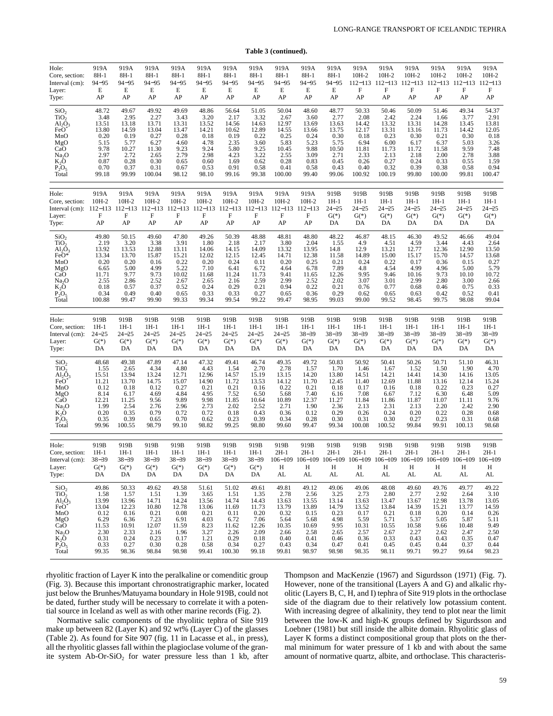**Table 3 (continued).**

| Hole:<br>Core, section:<br>Interval (cm):<br>Layer:<br>Type:                                                                                                        | 919A<br>$8H-1$<br>$94 - 95$<br>Е<br>AP                                                     | 919A<br>$8H-1$<br>$94 - 95$<br>Е<br>AP                                                     | 919A<br>$8H-1$<br>$94 - 95$<br>E<br>AP                                                     | 919A<br>$8H-1$<br>$94 - 95$<br>Е<br>AP                                                    | 919A<br>$8H-1$<br>$94 - 95$<br>Ε<br>AP                                                    | 919A<br>$8H-1$<br>$94 - 95$<br>E<br>AP                                                     | 919A<br>$8H-1$<br>$94 - 95$<br>E<br>AP                                                    | 919A<br>$8H-1$<br>$94 - 95$<br>Е<br>AP                                                     | 919A<br>$8H-1$<br>$94 - 95$<br>Е<br>AP                                                    | 919A<br>$8H-1$<br>$94 - 95$<br>E<br>AP                                                    | 919A<br>10H-2<br>F<br>AP                                                                             | 919A<br>10H-2<br>F<br>AP                                                                   | 919A<br>$10H-2$<br>112-113 112-113 112-113 112-113 112-113 112-113<br>F<br>AP             | 919A<br>$10H-2$<br>F<br>AP                                                                 | 919A<br>10H-2<br>F<br>AP                                                                   | 919A<br>10H-2<br>F<br>AP                                                                                                           |
|---------------------------------------------------------------------------------------------------------------------------------------------------------------------|--------------------------------------------------------------------------------------------|--------------------------------------------------------------------------------------------|--------------------------------------------------------------------------------------------|-------------------------------------------------------------------------------------------|-------------------------------------------------------------------------------------------|--------------------------------------------------------------------------------------------|-------------------------------------------------------------------------------------------|--------------------------------------------------------------------------------------------|-------------------------------------------------------------------------------------------|-------------------------------------------------------------------------------------------|------------------------------------------------------------------------------------------------------|--------------------------------------------------------------------------------------------|-------------------------------------------------------------------------------------------|--------------------------------------------------------------------------------------------|--------------------------------------------------------------------------------------------|------------------------------------------------------------------------------------------------------------------------------------|
| SiO <sub>2</sub><br>TiO <sub>2</sub><br>$Al_2O_3$<br>FeO<br>MnO<br>MgO<br>CaO<br>Na <sub>2</sub> O<br>$K_2O$<br>$P_2O_5$<br>Total                                   | 48.72<br>3.48<br>13.51<br>13.80<br>0.20<br>5.15<br>9.78<br>2.97<br>0.87<br>0.70<br>99.18   | 49.67<br>2.95<br>13.18<br>14.59<br>0.19<br>5.77<br>10.27<br>2.72<br>0.28<br>0.37<br>99.99  | 49.92<br>2.27<br>13.71<br>13.04<br>0.27<br>6.27<br>11.30<br>2.65<br>0.30<br>0.31<br>100.04 | 49.69<br>3.43<br>13.31<br>13.47<br>0.28<br>4.60<br>9.23<br>2.79<br>0.65<br>0.67<br>98.12  | 48.86<br>3.20<br>13.52<br>14.21<br>0.18<br>4.78<br>9.24<br>2.98<br>0.60<br>0.53<br>98.10  | 56.64<br>2.17<br>14.56<br>10.62<br>0.19<br>2.35<br>5.80<br>4.23<br>1.69<br>0.91<br>99.16   | 51.05<br>3.32<br>14.63<br>12.89<br>0.22<br>3.60<br>9.25<br>3.22<br>0.62<br>0.58<br>99.38  | 50.04<br>2.67<br>12.97<br>14.55<br>0.25<br>5.83<br>10.45<br>2.55<br>0.28<br>0.41<br>100.00 | 48.60<br>3.60<br>13.69<br>13.66<br>0.24<br>5.23<br>9.88<br>3.09<br>0.83<br>0.58<br>99.40  | 48.77<br>2.77<br>13.63<br>13.75<br>0.30<br>5.75<br>10.50<br>2.71<br>0.45<br>0.43<br>99.06 | 50.33<br>2.08<br>14.42<br>12.17<br>0.18<br>6.94<br>11.81<br>2.33<br>0.26<br>0.40<br>100.92           | 50.46<br>2.42<br>13.32<br>13.31<br>0.23<br>6.00<br>11.73<br>2.13<br>0.27<br>0.32<br>100.19 | 50.09<br>2.24<br>13.31<br>13.16<br>0.30<br>6.17<br>11.72<br>2.18<br>0.24<br>0.39<br>99.80 | 51.46<br>1.66<br>14.28<br>11.73<br>0.21<br>6.37<br>11.58<br>2.00<br>0.33<br>0.38<br>100.00 | 49.34<br>3.77<br>13.45<br>14.42<br>0.30<br>5.03<br>9.59<br>2.78<br>0.55<br>0.58<br>99.81   | 54.37<br>$\substack{2.91\\13.81}$<br>12.05<br>0.18<br>3.26<br>7.48<br>3.88<br>1.59<br>0.94<br>100.47                               |
| Hole:<br>Core, section:<br>Interval (cm):<br>Layer:<br>Type:                                                                                                        | 919A<br>$10H-2$<br>F<br>AP                                                                 | 919A<br>10H-2<br>F<br>AP                                                                   | 919A<br>10H-2<br>112-113 112-113 112-113 112-113<br>F<br>AP                                | 919A<br>$10H-2$<br>$\mathbf{F}$<br>AP                                                     | 919A<br>$10H-2$<br>112-113 112-113<br>F<br>AP                                             | 919A<br>10H-2<br>$_{\rm F}$<br>AP                                                          | 919A<br>$10H-2$<br>F<br>AP                                                                | 919A<br>$10H-2$<br>112-113 112-113 112-113<br>F<br>AP                                      | 919A<br>10H-2<br>F<br>AP                                                                  | 919B<br>$1H-1$<br>$24 - 25$<br>$G(*)$<br>DA                                               | 919B<br>$1H-1$<br>$24 - 25$<br>$G(*)$<br>DA                                                          | 919B<br>$1H-1$<br>$24 - 25$<br>$G(*)$<br>DA                                                | 919B<br>$1H-1$<br>$24 - 25$<br>$G(*)$<br>DA                                               | 919B<br>$1H-1$<br>$24 - 25$<br>$G(*)$<br>DA                                                | 919B<br>$1H-1$<br>$24 - 25$<br>$G(*)$<br>DA                                                | 919B<br>$1H-1$<br>$24 - 25$<br>$G(*)$<br>DA                                                                                        |
| SiO <sub>2</sub><br>TiO <sub>2</sub><br>$\text{Al}_2\text{O}_3$<br>FeO*<br>MnO<br>MgO<br>CaO<br>Na <sub>2</sub> O<br>$K_2O$<br>$P_2O_5$<br>Total                    | 49.80<br>2.19<br>13.92<br>13.34<br>0.20<br>6.65<br>11.71<br>2.55<br>0.18<br>0.34<br>100.88 | 50.15<br>3.20<br>13.53<br>13.70<br>0.20<br>5.00<br>9.77<br>2.86<br>0.57<br>0.49<br>99.47   | 49.60<br>3.38<br>12.88<br>15.87<br>0.16<br>4.99<br>9.73<br>2.52<br>0.37<br>0.40<br>99.90   | 47.80<br>3.91<br>13.11<br>15.21<br>0.22<br>5.22<br>10.02<br>2.67<br>0.52<br>0.65<br>99.33 | 49.26<br>1.80<br>14.06<br>12.02<br>0.20<br>7.10<br>11.68<br>2.65<br>0.24<br>0.33<br>99.34 | 50.39<br>2.18<br>14.15<br>12.15<br>0.24<br>6.41<br>11.24<br>2.16<br>0.29<br>0.33<br>99.54  | 48.88<br>2.17<br>14.09<br>12.45<br>0.11<br>6.72<br>11.73<br>2.59<br>0.21<br>0.27<br>99.22 | 48.81<br>3.80<br>13.32<br>14.71<br>0.20<br>4.64<br>9.41<br>2.99<br>0.94<br>0.65<br>99.47   | 48.80<br>2.04<br>13.95<br>12.38<br>0.25<br>6.78<br>11.65<br>2.52<br>0.22<br>0.36<br>98.95 | 48.22<br>1.55<br>14.8<br>11.58<br>0.21<br>7.89<br>12.26<br>2.02<br>0.21<br>0.29<br>99.03  | 46.87<br>4.9<br>12.9<br>14.89<br>0.24<br>4.8<br>9.95<br>3.07<br>0.76<br>0.62<br>99.00                | 48.15<br>4.51<br>13.21<br>15.00<br>0.22<br>4.54<br>9.46<br>3.01<br>0.77<br>0.65<br>99.52   | 46.30<br>4.59<br>12.77<br>15.17<br>0.17<br>4.99<br>10.16<br>2.99<br>0.68<br>0.63<br>98.45 | 49.52<br>3.44<br>12.36<br>15.70<br>0.36<br>4.96<br>9.73<br>2.80<br>0.46<br>0.42<br>99.75   | 46.66<br>4.43<br>12.90<br>14.57<br>0.15<br>5.00<br>10.10<br>3.00<br>0.75<br>0.52<br>98.08  | 49.04<br>2.64<br>13.50<br>13.68<br>0.27<br>5.79<br>10.72<br>2.66<br>0.33<br>0.41<br>99.04                                          |
| Hole:<br>Core, section:<br>Interval (cm):<br>Layer:<br>Type:                                                                                                        | 919B<br>$1H-1$<br>$24 - 25$<br>$G(*)$<br>DA                                                | 919B<br>$1H-1$<br>$24 - 25$<br>$G(*)$<br>DA                                                | 919B<br>$1H-1$<br>$24 - 25$<br>$G(*)$<br>DA                                                | 919B<br>$1H-1$<br>$24 - 25$<br>$G(*)$<br>DA                                               | 919B<br>$1H-1$<br>$24 - 25$<br>$G(*)$<br>DA                                               | 919B<br>$1H-1$<br>$24 - 25$<br>$G(*)$<br>DA                                                | 919B<br>$1H-1$<br>$24 - 25$<br>$G(*)$<br>DA                                               | 919B<br>$1H-1$<br>$24 - 25$<br>$G(*)$<br>DA                                                | 919B<br>$1H-1$<br>$38 - 39$<br>$G(*)$<br>DA                                               | 919B<br>$1H-1$<br>$38 - 39$<br>$G(*)$<br>DA                                               | 919B<br>$1H-1$<br>$38 - 39$<br>$G(*)$<br>DA                                                          | 919B<br>$1H-1$<br>$38 - 39$<br>$G(*)$<br>DA                                                | 919B<br>$1H-1$<br>$38 - 39$<br>$G(*)$<br>DA                                               | 919B<br>$1H-1$<br>$38 - 39$<br>$G(*)$<br>DA                                                | 919B<br>$1H-1$<br>$38 - 39$<br>$G(*)$<br>DA                                                | 919B<br>$1H-1$<br>$38 - 39$<br>$G(*)$<br>DA                                                                                        |
| SiO <sub>2</sub><br>TiO <sub>2</sub><br>$\mathrm{Al}_2\mathrm{O}_3$<br>FeO<br>MnO<br>MgO<br>CaO<br>Na <sub>2</sub> O<br>$K_2O$<br>$P_2O_5$<br>Total                 | 48.68<br>1.55<br>15.51<br>11.21<br>0.12<br>8.14<br>12.21<br>1.99<br>0.20<br>0.35<br>99.96  | 49.38<br>2.65<br>13.94<br>13.70<br>0.18<br>6.17<br>11.25<br>2.54<br>0.35<br>0.39<br>100.55 | 47.89<br>4.34<br>13.24<br>14.75<br>0.12<br>4.69<br>9.56<br>2.76<br>0.79<br>0.65<br>98.79   | 47.14<br>4.80<br>12.71<br>15.07<br>0.27<br>4.84<br>9.89<br>2.96<br>0.72<br>0.70<br>99.10  | 47.32<br>4.43<br>12.96<br>14.90<br>0.21<br>4.95<br>9.98<br>2.73<br>0.72<br>0.62<br>98.82  | 49.41<br>1.54<br>14.57<br>11.72<br>0.21<br>7.52<br>11.85<br>2.02<br>0.18<br>0.23<br>99.25  | 46.74<br>2.70<br>15.19<br>13.53<br>0.16<br>6.50<br>10.64<br>2.52<br>0.43<br>0.39<br>98.80 | 49.35<br>2.78<br>13.15<br>14.12<br>0.22<br>5.68<br>10.89<br>2.71<br>0.36<br>0.34<br>99.60  | 49.72<br>1.57<br>14.20<br>11.70<br>0.21<br>7.40<br>12.37<br>1.90<br>0.12<br>0.28<br>99.47 | 50.83<br>1.70<br>13.80<br>12.45<br>0.18<br>6.16<br>11.27<br>2.36<br>0.29<br>0.30<br>99.34 | 50.92<br>1.46<br>14.51<br>11.40<br>0.17<br>7.08<br>11.84<br>2.13<br>0.26<br>0.31<br>100.08           | 50.41<br>1.67<br>14.21<br>12.69<br>0.16<br>6.67<br>11.86<br>2.31<br>0.24<br>0.30<br>100.52 | 50.26<br>1.52<br>14.41<br>11.88<br>0.18<br>7.12<br>11.87<br>2.13<br>0.20<br>0.27<br>99.84 | 50.71<br>1.50<br>14.30<br>13.16<br>0.22<br>6.30<br>11.07<br>2.20<br>0.22<br>0.23<br>99.91  | 51.10<br>1.90<br>14.16<br>12.14<br>0.23<br>6.48<br>11.11<br>2.42<br>0.28<br>0.31<br>100.13 | 46.31<br>4.70<br>$13.05$<br>$15.24$<br>0.27<br>5.09<br>9.76<br>2.90<br>0.68<br>0.68<br>98.68                                       |
| Hole:<br>Core, section:<br>Interval (cm):<br>Layer:<br>Type:                                                                                                        | 919B<br>$1H-1$<br>$38 - 39$<br>$G(*)$<br>DA                                                | 919B<br>$1H-1$<br>$38 - 39$<br>$G(*)$<br>DA                                                | 919B<br>$1H-1$<br>$38 - 39$<br>$\mathbf{G} (^*)$<br>DA                                     | 919B<br>$1H-1$<br>$38 - 39$<br>$\mathbf{G} (^*)$<br>DA                                    | 919B<br>$1H-1$<br>$38 - 39$<br>$G(*)$<br>DA                                               | 919B<br>$1H-1$<br>$38 - 39$<br>$\mathbf{G} (^*)$<br>DA                                     | 919B<br>$1H-1$<br>$38 - 39$<br>$G(*)$<br>DA                                               | 919B<br>$2H-1$<br>Η<br>AL                                                                  | 919B<br>$2H-1$<br>Η<br>AL                                                                 | 919B<br>$2H-1$<br>Η<br>AL                                                                 | 919B<br>$2H-1$<br>106-109 106-109 106-109 106-109 106-109 106-109 106-109 106-109 106-109<br>Η<br>AL | 919B<br>$2H-1$<br>Η<br>AL                                                                  | 919B<br>$2H-1$<br>Η<br>AL                                                                 | 919B<br>$2H-1$<br>Η<br>AL                                                                  | 919B<br>$2H-1$<br>Η<br>AL                                                                  | 919B<br>$2H-1$<br>H<br>AL                                                                                                          |
| SiO <sub>2</sub><br>TiO <sub>2</sub><br>$\text{Al}_2\bar{\text{O}}_3$<br>$Fe*$<br>MnO<br>MgO<br>Ca <sub>O</sub><br>Na <sub>2</sub> O<br>$K_2O$<br>$P_2O_5$<br>Total | 49.86<br>1.58<br>13.99<br>13.04<br>0.12<br>6.29<br>11.53<br>2.30<br>0.31<br>0.33<br>99.35  | 50.33<br>1.57<br>13.96<br>12.23<br>0.16<br>6.36<br>10.91<br>2.33<br>0.24<br>0.27<br>98.36  | 49.62<br>1.51<br>14.71<br>10.80<br>0.21<br>7.23<br>12.07<br>2.16<br>0.23<br>0.30<br>98.84  | 49.58<br>1.39<br>14.24<br>12.78<br>0.08<br>6.91<br>11.59<br>1.96<br>0.17<br>0.28<br>98.98 | 51.61<br>3.65<br>13.56<br>13.06<br>0.21<br>4.03<br>8.23<br>3.27<br>1.21<br>0.58<br>99.41  | 51.02<br>1.51<br>14.74<br>11.69<br>0.11<br>6.72<br>11.62<br>2.26<br>0.29<br>0.34<br>100.30 | 49.61<br>1.35<br>14.43<br>11.73<br>0.20<br>7.06<br>12.26<br>2.09<br>0.18<br>0.27<br>99.18 | 49.81<br>2.78<br>13.63<br>13.79<br>0.32<br>5.64<br>10.35<br>2.66<br>0.40<br>0.43<br>99.81  | 49.12<br>2.56<br>13.55<br>13.89<br>0.15<br>5.68<br>10.69<br>2.58<br>0.41<br>0.34<br>98.97 | 49.06<br>3.25<br>13.14<br>14.79<br>0.23<br>4.98<br>9.95<br>2.65<br>0.46<br>0.47<br>98.98  | 49.06<br>2.73<br>13.63<br>13.52<br>0.17<br>5.59<br>10.31<br>2.57<br>0.36<br>0.41<br>98.35            | 48.08<br>2.80<br>13.47<br>13.84<br>0.21<br>5.71<br>10.55<br>2.67<br>0.33<br>0.45<br>98.11  | 49.60<br>2.77<br>13.67<br>14.39<br>0.18<br>5.37<br>10.58<br>2.27<br>0.43<br>0.45<br>99.71 | 49.76<br>2.92<br>12.98<br>15.21<br>0.20<br>5.05<br>9.66<br>2.62<br>0.43<br>0.44<br>99.27   | 49.77<br>2.64<br>13.78<br>13.77<br>0.14<br>5.87<br>10.48<br>2.47<br>0.35<br>0.37<br>99.64  | 49.22<br>3.10<br>13.05<br>14.59<br>$\underset{5.11}{0.26}$<br>9.49<br>$\begin{array}{c} 2.50 \\ 0.47 \end{array}$<br>0.44<br>98.23 |

rhyolitic fraction of Layer K into the peralkaline or comenditic group (Fig. 3). Because this important chronostratigraphic marker, located just below the Brunhes/Matuyama boundary in Hole 919B, could not be dated, further study will be necessary to correlate it with a potential source in Iceland as well as with other marine records (Fig. 2).

Normative salic components of the rhyolitic tephra of Site 919 make up between 82 (Layer K) and 92 wt% (Layer C) of the glasses (Table 2). As found for Site 907 (fig. 11 in Lacasse et al., in press), all the rhyolitic glasses fall within the plagioclase volume of the granite system Ab-Or-SiO<sub>2</sub> for water pressure less than 1 kb, after Thompson and MacKenzie (1967) and Sigurdsson (1971) (Fig. 7). However, none of the transitional (Layers A and G) and alkalic rhyolitic (Layers B, C, H, and I) tephra of Site 919 plots in the orthoclase side of the diagram due to their relatively low potassium content. With increasing degree of alkalinity, they tend to plot near the limit between the low-K and high-K groups defined by Sigurdsson and Loebner (1981) but still inside the albite domain. Rhyolitic glass of Layer K forms a distinct compositional group that plots on the thermal minimum for water pressure of 1 kb and with about the same amount of normative quartz, albite, and orthoclase. This characteris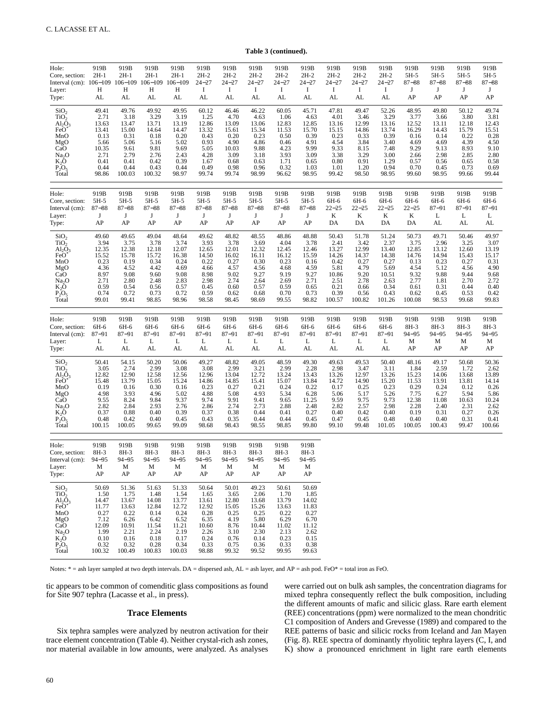**Table 3 (continued).**

| Hole:<br>Core, section:<br>Interval (cm): 106-109 106-109<br>Layer:<br>Type:                                                                                             | 919B<br>$2H-1$<br>Η<br>AL                                                                 | 919B<br>$2H-1$<br>Η<br>AL                                                                 | 919B<br>$2H-1$<br>$106 - 109$<br>H<br>AL                                                  | 919B<br>$2H-1$<br>$106 - 109$<br>H<br>AL                                                 | 919B<br>$2H-2$<br>$24 - 27$<br>1<br>AL                                                   | 919B<br>$2H-2$<br>$24 - 27$<br>Ι.<br>AL                                                   | 919B<br>$2H-2$<br>$24 - 27$<br><b>I</b><br>AL                                            | 919B<br>$2H-2$<br>$24 - 27$<br>1<br>AL                                                   | 919B<br>$2H-2$<br>$24 - 27$<br><b>I</b><br>AL                                             | 919B<br>$2H-2$<br>$24 - 27$<br><b>I</b><br>AL                                                                             | 919B<br>$2H-2$<br>$24 - 27$<br>Ι.<br>AL                                                   | 919B<br>$2H-2$<br>$24 - 27$<br>Ι.<br>AL                                                    | 919B<br>$5H-5$<br>$87 - 88$<br>J<br>AP                                                     | 919B<br>$5H-5$<br>$87 - 88$<br>J<br>AP                                                     | 919B<br>5H-5<br>$87 - 88$<br>J<br>AP                                                      | 919B<br>5H-5<br>$87 - 88$<br>J<br>AP                                                                                                                                    |
|--------------------------------------------------------------------------------------------------------------------------------------------------------------------------|-------------------------------------------------------------------------------------------|-------------------------------------------------------------------------------------------|-------------------------------------------------------------------------------------------|------------------------------------------------------------------------------------------|------------------------------------------------------------------------------------------|-------------------------------------------------------------------------------------------|------------------------------------------------------------------------------------------|------------------------------------------------------------------------------------------|-------------------------------------------------------------------------------------------|---------------------------------------------------------------------------------------------------------------------------|-------------------------------------------------------------------------------------------|--------------------------------------------------------------------------------------------|--------------------------------------------------------------------------------------------|--------------------------------------------------------------------------------------------|-------------------------------------------------------------------------------------------|-------------------------------------------------------------------------------------------------------------------------------------------------------------------------|
| SiO <sub>2</sub><br>TiO <sub>2</sub><br>$\text{Al}_2\text{O}_3$<br>FeO <sup>®</sup><br>MnO<br>$_{\rm CaO}^{\rm MgO}$<br>Na <sub>2</sub> O<br>$K_2O$<br>$P_2O_5$<br>Total | 49.41<br>2.71<br>13.63<br>13.41<br>0.13<br>5.66<br>10.35<br>2.71<br>0.41<br>0.44<br>98.86 | 49.76<br>3.18<br>13.47<br>15.00<br>0.31<br>5.06<br>9.61<br>2.79<br>0.41<br>0.44<br>100.03 | 49.92<br>3.29<br>13.71<br>14.64<br>0.18<br>5.16<br>9.81<br>2.76<br>0.42<br>0.43<br>100.32 | 49.95<br>3.19<br>13.19<br>14.47<br>0.20<br>5.02<br>9.69<br>2.43<br>0.39<br>0.44<br>98.97 | 60.12<br>1.25<br>12.86<br>13.32<br>0.43<br>0.93<br>5.05<br>4.28<br>1.67<br>0.49<br>99.74 | 46.46<br>4.70<br>13.09<br>15.61<br>0.20<br>4.90<br>10.03<br>3.09<br>0.68<br>0.98<br>99.74 | 46.22<br>4.63<br>13.06<br>15.34<br>0.23<br>4.86<br>9.88<br>3.18<br>0.63<br>0.96<br>98.99 | 60.05<br>1.06<br>12.83<br>11.53<br>0.50<br>0.46<br>4.23<br>3.93<br>1.71<br>0.32<br>96.62 | 45.71<br>4.63<br>12.85<br>15.70<br>0.39<br>4.91<br>9.99<br>3.09<br>0.65<br>1.03<br>98.95  | 47.81<br>4.01<br>13.16<br>15.15<br>0.23<br>4.54<br>9.33<br>3.38<br>0.80<br>1.01<br>99.42                                  | 49.47<br>3.46<br>12.99<br>14.86<br>0.33<br>3.84<br>8.15<br>3.29<br>0.91<br>1.20<br>98.50  | 52.26<br>3.29<br>13.16<br>13.74<br>0.39<br>3.40<br>7.48<br>3.00<br>1.29<br>0.94<br>98.95   | 48.95<br>3.77<br>12.52<br>16.29<br>0.16<br>4.69<br>9.29<br>2.66<br>0.57<br>0.70<br>99.60   | 49.80<br>3.66<br>13.11<br>14.43<br>0.14<br>4.69<br>9.13<br>2.98<br>0.56<br>0.45<br>98.95   | 50.12<br>3.80<br>12.18<br>15.79<br>0.22<br>4.39<br>8.93<br>2.85<br>0.65<br>0.73<br>99.66  | 49.74<br>3.81<br>$\substack{12.43 \\ 15.51}$<br>$0.28\,$<br>$\begin{array}{c} 4.50 \\ 9.10 \end{array}$<br>2.80<br>$\begin{array}{c} 0.58 \\ 0.69 \end{array}$<br>99.44 |
| Hole:<br>Core, section:<br>Interval (cm):<br>Layer:<br>Type:                                                                                                             | 919B<br>5H-5<br>$87 - 88$<br>J<br>AP                                                      | 919B<br>5H-5<br>$87 - 88$<br>J<br>AP                                                      | 919B<br>5H-5<br>$87 - 88$<br>J<br>AP                                                      | 919B<br>5H-5<br>$87 - 88$<br>J<br>AP                                                     | 919B<br>5H-5<br>$87 - 88$<br>J<br>AP                                                     | 919B<br>5H-5<br>$87 - 88$<br>J<br>AP                                                      | 919B<br>5H-5<br>$87 - 88$<br>J<br>AP                                                     | 919B<br>5H-5<br>$87 - 88$<br>J<br>AP                                                     | 919B<br>5H-5<br>$87 - 88$<br>J<br>AP                                                      | 919B<br>6H-6<br>$22 - 25$<br>K<br>DA                                                                                      | 919B<br>6H-6<br>$22 - 25$<br>K<br>DA                                                      | 919B<br>6H-6<br>$22 - 25$<br>K<br>DA                                                       | 919B<br>6H-6<br>$22 - 25$<br>K<br>DA                                                       | 919B<br>6H-6<br>$87 - 91$<br>L<br>AL                                                       | 919B<br>6H-6<br>$87 - 91$<br>L<br>AL                                                      | 919B<br>$6H-6$<br>$87 - 91$<br>L<br>AL                                                                                                                                  |
| SiO <sub>2</sub><br>TiO <sub>2</sub><br>$\text{Al}_2\bar{\text{O}}_3$<br>$FeO*$<br>MnO<br>MgO<br>CaO<br>Na <sub>2</sub> O<br>$K_2O$<br>$P_2O_5$<br>Total                 | 49.60<br>3.94<br>12.35<br>15.52<br>0.23<br>4.36<br>8.97<br>2.71<br>0.59<br>0.74<br>99.01  | 49.65<br>3.75<br>12.38<br>15.78<br>0.19<br>4.52<br>9.08<br>2.80<br>0.54<br>0.72<br>99.41  | 49.04<br>3.78<br>12.18<br>15.72<br>0.34<br>4.42<br>9.60<br>2.48<br>0.56<br>0.73<br>98.85  | 48.64<br>3.74<br>12.07<br>16.38<br>0.24<br>4.69<br>9.08<br>2.83<br>0.57<br>0.72<br>98.96 | 49.62<br>3.93<br>12.65<br>14.50<br>0.22<br>4.66<br>8.98<br>2.98<br>0.45<br>0.59<br>98.58 | 48.82<br>3.78<br>12.01<br>16.02<br>0.27<br>4.57<br>9.02<br>2.74<br>0.60<br>0.62<br>98.45  | 48.55<br>3.69<br>12.32<br>16.11<br>0.30<br>4.56<br>9.27<br>2.64<br>0.57<br>0.68<br>98.69 | 48.86<br>4.04<br>12.45<br>16.12<br>0.23<br>4.68<br>9.19<br>2.69<br>0.59<br>0.70<br>99.55 | 48.88<br>3.78<br>12.46<br>15.59<br>0.16<br>4.59<br>9.27<br>2.71<br>0.65<br>0.73<br>98.82  | 50.43<br>2.41<br>13.27<br>14.26<br>0.42<br>5.81<br>10.86<br>$\begin{array}{c} 2.51 \\ 0.21 \end{array}$<br>0.39<br>100.57 | 51.78<br>3.42<br>12.99<br>14.37<br>0.27<br>4.79<br>9.20<br>2.78<br>0.66<br>0.56<br>100.82 | 51.24<br>2.37<br>13.40<br>14.38<br>0.27<br>5.69<br>10.51<br>2.63<br>0.34<br>0.43<br>101.26 | 50.73<br>3.75<br>12.85<br>14.76<br>0.13<br>4.54<br>9.32<br>2.77<br>0.61<br>0.62<br>100.08  | 49.71<br>2.96<br>13.12<br>14.94<br>0.23<br>5.12<br>9.88<br>1.81<br>0.31<br>0.45<br>98.53   | 50.46<br>3.25<br>12.60<br>15.43<br>0.27<br>4.56<br>9.44<br>2.70<br>0.44<br>0.53<br>99.68  | 49.97<br>$3.07$<br>13.19<br>15.17<br>$\frac{0.31}{4.90}$<br>9.68<br>$\begin{array}{c} 2.72 \\ 0.40 \end{array}$<br>0.42<br>99.83                                        |
|                                                                                                                                                                          |                                                                                           |                                                                                           |                                                                                           |                                                                                          |                                                                                          |                                                                                           |                                                                                          |                                                                                          |                                                                                           |                                                                                                                           |                                                                                           |                                                                                            |                                                                                            |                                                                                            |                                                                                           |                                                                                                                                                                         |
| Hole:<br>Core, section:<br>Interval (cm):<br>Layer:<br>Type:                                                                                                             | 919B<br>6H-6<br>$87 - 91$<br>L<br>AL                                                      | 919B<br>6H-6<br>$87 - 91$<br>L<br>AL                                                      | 919B<br>6H-6<br>$87 - 91$<br>L<br>AL                                                      | 919B<br>6H-6<br>$87 - 91$<br>L<br>AL                                                     | 919B<br>6H-6<br>$87 - 91$<br>L<br>AL                                                     | 919B<br>6H-6<br>$87 - 91$<br>L<br>AL                                                      | 919B<br>6H-6<br>$87 - 91$<br>L<br>AL                                                     | 919B<br>6H-6<br>$87 - 91$<br>L<br>AL                                                     | 919B<br>6H-6<br>$87 - 91$<br>L<br>AL                                                      | 919B<br>6H-6<br>$87 - 91$<br>L<br>AL                                                                                      | 919B<br>6H-6<br>$87 - 91$<br>L<br>AL                                                      | 919B<br>6H-6<br>$87 - 91$<br>L<br>AL                                                       | 919B<br>8H-3<br>$94 - 95$<br>M<br>AP                                                       | 919B<br>8H-3<br>$94 - 95$<br>М<br>AP                                                       | 919B<br>8H-3<br>$94 - 95$<br>М<br>AP                                                      | 919B<br>8H-3<br>$94 - 95$<br>M<br>AP                                                                                                                                    |
| SiO <sub>2</sub><br>TiO <sub>2</sub><br>$\text{Al}_2\bar{\text{O}}_3$<br>$FeO*$<br>MnO<br>MgO<br>CaO<br>Na <sub>2</sub> O<br>$K_2\bar{O}$<br>$P_2O_5$<br>Total           | 50.41<br>3.05<br>12.82<br>15.48<br>0.19<br>4.98<br>9.55<br>2.82<br>0.37<br>0.48<br>100.15 | 54.15<br>2.74<br>12.90<br>13.79<br>0.16<br>3.93<br>8.24<br>2.84<br>0.88<br>0.42<br>100.05 | 50.20<br>2.99<br>12.58<br>15.05<br>0.30<br>4.96<br>9.84<br>2.93<br>0.40<br>0.40<br>99.65  | 50.06<br>3.08<br>12.56<br>15.24<br>0.16<br>5.02<br>9.37<br>2.76<br>0.39<br>0.45<br>99.09 | 49.27<br>3.08<br>12.96<br>14.86<br>0.23<br>4.88<br>9.74<br>2.86<br>0.37<br>0.43<br>98.68 | 48.82<br>2.99<br>13.04<br>14.85<br>0.27<br>5.08<br>9.91<br>2.74<br>0.38<br>0.35<br>98.43  | 49.05<br>3.21<br>12.72<br>15.41<br>0.21<br>4.93<br>9.41<br>2.73<br>0.44<br>0.44<br>98.55 | 48.59<br>2.99<br>13.24<br>15.07<br>0.24<br>5.34<br>9.65<br>2.88<br>0.41<br>0.44<br>98.85 | 49.30<br>2.28<br>13.43<br>13.84<br>0.22<br>6.28<br>11.25<br>2.48<br>0.27<br>0.45<br>99.80 | 49.63<br>2.98<br>13.26<br>14.72<br>0.17<br>5.06<br>9.59<br>2.82<br>0.40<br>0.47<br>99.10                                  | 49.53<br>3.47<br>12.97<br>14.90<br>0.25<br>5.17<br>9.75<br>2.57<br>0.42<br>0.45<br>99.48  | 50.40<br>3.11<br>13.26<br>15.20<br>0.23<br>5.26<br>9.73<br>2.98<br>0.40<br>0.48<br>101.05  | 48.16<br>1.84<br>15.23<br>11.53<br>0.29<br>7.75<br>12.38<br>2.28<br>0.19<br>0.40<br>100.05 | 49.17<br>2.59<br>14.06<br>13.91<br>0.24<br>6.27<br>11.08<br>2.40<br>0.31<br>0.40<br>100.43 | 50.68<br>1.72<br>13.68<br>13.81<br>0.12<br>5.94<br>10.63<br>2.31<br>0.27<br>0.31<br>99.47 | 50.36<br>2.62<br>13.89<br>14.14<br>$0.26\,$<br>5.86<br>$\begin{array}{c} 10.24 \\ 2.62 \end{array}$<br>0.26<br>0.41<br>100.66                                           |
| Hole:<br>Core, section:<br>Interval (cm):<br>Layer:<br>Type:                                                                                                             | 919B<br>8H-3<br>$94 - 95$<br>M<br>AP                                                      | 919B<br>8H-3<br>$94 - 95$<br>M<br>AP                                                      | 919B<br>8H-3<br>$94 - 95$<br>M<br>AP                                                      | 919B<br>8H-3<br>$94 - 95$<br>M<br>AP                                                     | 919B<br>8H-3<br>$94 - 95$<br>М<br>AP                                                     | 919B<br>8H-3<br>$94 - 95$<br>M<br>AP                                                      | 919B<br>8H-3<br>$94 - 95$<br>M<br>AP                                                     | 919B<br>8H-3<br>$94 - 95$<br>M<br>AP                                                     | 919B<br>8H-3<br>$94 - 95$<br>М<br>AP                                                      |                                                                                                                           |                                                                                           |                                                                                            |                                                                                            |                                                                                            |                                                                                           |                                                                                                                                                                         |

Notes: \* = ash layer sampled at two depth intervals. DA = dispersed ash, AL = ash layer, and AP = ash pod. FeO\* = total iron as FeO.

tic appears to be common of comenditic glass compositions as found for Site 907 tephra (Lacasse et al., in press).

### **Trace Elements**

Six tephra samples were analyzed by neutron activation for their trace element concentration (Table 4). Neither crystal-rich ash zones, nor material available in low amounts, were analyzed. As analyses were carried out on bulk ash samples, the concentration diagrams for mixed tephra consequently reflect the bulk composition, including the different amounts of mafic and silicic glass. Rare earth element (REE) concentrations (ppm) were normalized to the mean chondritic C1 composition of Anders and Grevesse (1989) and compared to the REE patterns of basic and silicic rocks from Iceland and Jan Mayen (Fig. 8). REE spectra of dominantly rhyolitic tephra layers (C, I, and K) show a pronounced enrichment in light rare earth elements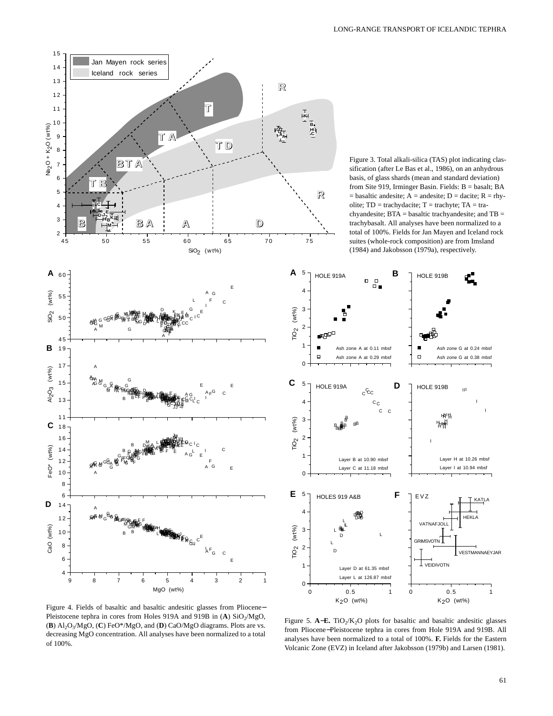





Figure 4. Fields of basaltic and basaltic andesitic glasses from Pliocene− Pleistocene tephra in cores from Holes 919A and 919B in  $(A)$  SiO<sub>2</sub>/MgO,  $(\mathbf{B})$  Al<sub>2</sub>O<sub>3</sub>/MgO,  $(\mathbf{C})$  FeO<sup>\*</sup>/MgO, and  $(\mathbf{D})$  CaO/MgO diagrams. Plots are vs. decreasing MgO concentration. All analyses have been normalized to a total of 100%.

Figure 5. **A−E.** TiO<sub>2</sub>/K<sub>2</sub>O plots for basaltic and basaltic andesitic glasses from Pliocene−Pleistocene tephra in cores from Hole 919A and 919B. All analyses have been normalized to a total of 100%. **F.** Fields for the Eastern Volcanic Zone (EVZ) in Iceland after Jakobsson (1979b) and Larsen (1981).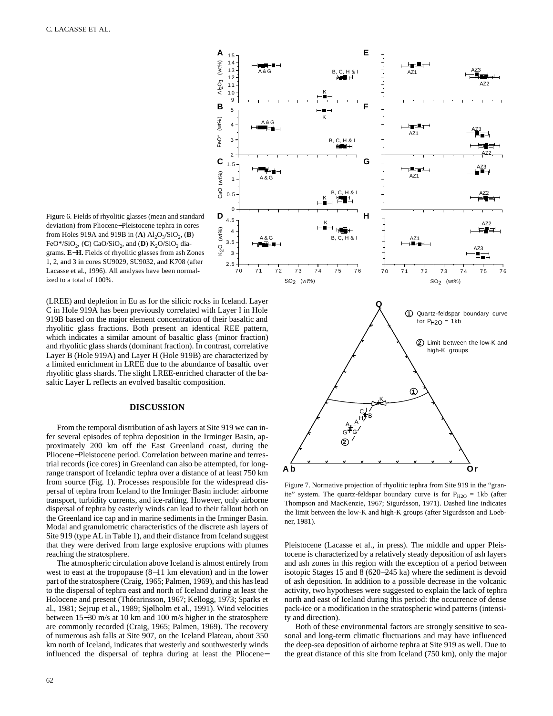

Figure 6. Fields of rhyolitic glasses (mean and standard deviation) from Pliocene−Pleistocene tephra in cores from Holes 919A and 919B in (A)  $\text{Al}_2\text{O}_3/\text{SiO}_2$ , (B) FeO\*/SiO<sub>2</sub>, (C) CaO/SiO<sub>2</sub>, and (D) K<sub>2</sub>O/SiO<sub>2</sub> diagrams. **E**−**H.** Fields of rhyolitic glasses from ash Zones 1, 2, and 3 in cores SU9029, SU9032, and K708 (after Lacasse et al., 1996). All analyses have been normalized to a total of 100%.

(LREE) and depletion in Eu as for the silicic rocks in Iceland. Layer C in Hole 919A has been previously correlated with Layer I in Hole 919B based on the major element concentration of their basaltic and rhyolitic glass fractions. Both present an identical REE pattern, which indicates a similar amount of basaltic glass (minor fraction) and rhyolitic glass shards (dominant fraction). In contrast, correlative Layer B (Hole 919A) and Layer H (Hole 919B) are characterized by a limited enrichment in LREE due to the abundance of basaltic over rhyolitic glass shards. The slight LREE-enriched character of the basaltic Layer L reflects an evolved basaltic composition.

## **DISCUSSION**

From the temporal distribution of ash layers at Site 919 we can infer several episodes of tephra deposition in the Irminger Basin, approximately 200 km off the East Greenland coast, during the Pliocene−Pleistocene period. Correlation between marine and terrestrial records (ice cores) in Greenland can also be attempted, for longrange transport of Icelandic tephra over a distance of at least 750 km from source (Fig. 1). Processes responsible for the widespread dispersal of tephra from Iceland to the Irminger Basin include: airborne transport, turbidity currents, and ice-rafting. However, only airborne dispersal of tephra by easterly winds can lead to their fallout both on the Greenland ice cap and in marine sediments in the Irminger Basin. Modal and granulometric characteristics of the discrete ash layers of Site 919 (type AL in Table 1), and their distance from Iceland suggest that they were derived from large explosive eruptions with plumes reaching the stratosphere.

The atmospheric circulation above Iceland is almost entirely from west to east at the tropopause (8−11 km elevation) and in the lower part of the stratosphere (Craig, 1965; Palmen, 1969), and this has lead to the dispersal of tephra east and north of Iceland during at least the Holocene and present (Thórarinsson, 1967; Kellogg, 1973; Sparks et al., 1981; Sejrup et al., 1989; Sjølholm et al., 1991). Wind velocities between 15−30 m/s at 10 km and 100 m/s higher in the stratosphere are commonly recorded (Craig, 1965; Palmen, 1969). The recovery of numerous ash falls at Site 907, on the Iceland Plateau, about 350 km north of Iceland, indicates that westerly and southwesterly winds influenced the dispersal of tephra during at least the Pliocene−



Figure 7. Normative projection of rhyolitic tephra from Site 919 in the "granite" system. The quartz-feldspar boundary curve is for  $P_{H2O} = 1kb$  (after Thompson and MacKenzie, 1967; Sigurdsson, 1971). Dashed line indicates the limit between the low-K and high-K groups (after Sigurdsson and Loebner, 1981).

Pleistocene (Lacasse et al., in press). The middle and upper Pleistocene is characterized by a relatively steady deposition of ash layers and ash zones in this region with the exception of a period between isotopic Stages 15 and 8 (620−245 ka) where the sediment is devoid of ash deposition. In addition to a possible decrease in the volcanic activity, two hypotheses were suggested to explain the lack of tephra north and east of Iceland during this period: the occurrence of dense pack-ice or a modification in the stratospheric wind patterns (intensity and direction).

Both of these environmental factors are strongly sensitive to seasonal and long-term climatic fluctuations and may have influenced the deep-sea deposition of airborne tephra at Site 919 as well. Due to the great distance of this site from Iceland (750 km), only the major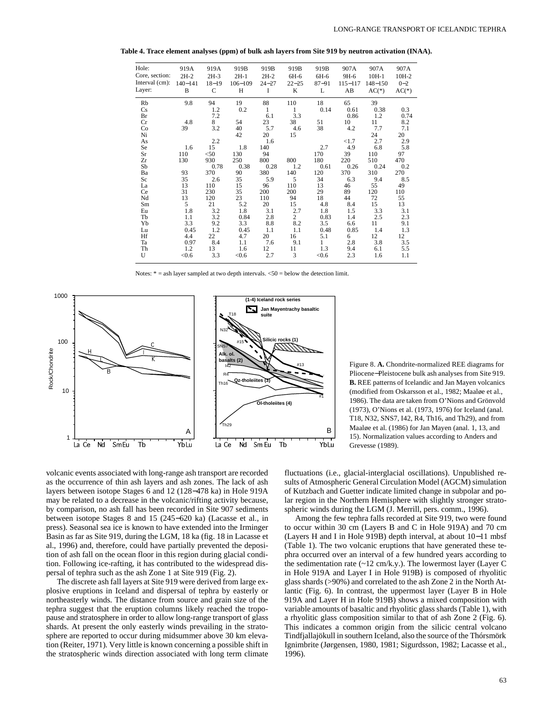**Table 4. Trace element analyses (ppm) of bulk ash layers from Site 919 by neutron activation (INAA).**

| Hole:          | 919A        | 919A      | 919B        | 919B      | 919B           | 919B      | 907A        | 907A        | 907A    |
|----------------|-------------|-----------|-------------|-----------|----------------|-----------|-------------|-------------|---------|
| Core, section: | $2H-2$      | $2H-3$    | $2H-1$      | $2H-2$    | 6H-6           | 6H-6      | 9H-6        | $10H-1$     | $10H-2$ |
| Interval (cm): | $140 - 141$ | $18 - 19$ | $106 - 109$ | $24 - 27$ | $22 - 25$      | $87 - 91$ | $115 - 117$ | $148 - 150$ | $0 - 2$ |
| Layer:         | $\bf{B}$    | C         | H           | I         | K              | L         | AB          | $AC(*)$     | $AC(*)$ |
| Rb             | 9.8         | 94        | 19          | 88        | 110            | 18        | 65          | 39          |         |
| Cs             |             | 1.2       | 0.2         | 1         | 1              | 0.14      | 0.61        | 0.38        | 0.3     |
| Br             |             | 7.2       |             | 6.1       | 3.3            |           | 0.86        | 1.2         | 0.74    |
| Cr             | 4.8         | 8         | 54          | 23        | 38             | 51        | 10          | 11          | 8.2     |
| Co             | 39          | 3.2       | 40          | 5.7       | 4.6            | 38        | 4.2         | 7.7         | 7.1     |
| Ni             |             |           | 42          | 20        | 15             |           |             | 24          | 20      |
| As             |             | 2.2       |             | 1.6       |                |           | <1.7        | 2.7         | 2.9     |
| Se             | 1.6         | 15        | 1.8         | 140       |                | 2.7       | 4.9         | 6.8         | 5.8     |
| Sr             | 110         | < 50      | 130         | 94        |                | 170       | 39          | 110         | 97      |
| Zr             | 130         | 930       | 250         | 800       | 800            | 180       | 220         | 510         | 470     |
| Sb             |             | 0.78      | 0.38        | 0.28      | 1.2            | 0.61      | 0.26        | 0.24        | 0.2     |
| Ba             | 93          | 370       | 90          | 380       | 140            | 120       | 370         | 310         | 270     |
| Sc             | 35          | 2.6       | 35          | 5.9       | 5              | 34        | 6.3         | 9.4         | 8.5     |
| La             | 13          | 110       | 15          | 96        | 110            | 13        | 46          | 55          | 49      |
| Ce             | 31          | 230       | 35          | 200       | 200            | 29        | 89          | 120         | 110     |
| Nd             | 13          | 120       | 23          | 110       | 94             | 18        | 44          | 72          | 55      |
| Sm             | 5           | 21        | 5.2         | 20        | 15             | 4.8       | 8.4         | 15          | 13      |
| Eu             | 1.8         | 3.2       | 1.8         | 3.1       | 2.7            | 1.8       | 1.5         | 3.3         | 3.1     |
| Tb             | 1.1         | 3.2       | 0.84        | 2.8       | $\overline{2}$ | 0.83      | 1.4         | 2.5         | 2.3     |
| Yb             | 3.3         | 9.2       | 3.3         | 8.8       | 8.2            | 3.5       | 6.6         | 11          | 9.1     |
| Lu             | 0.45        | 1.2       | 0.45        | 1.1       | 1.1            | 0.48      | 0.85        | 1.4         | 1.3     |
| Hf             | 4.4         | 22        | 4.7         | 20        | 16             | 5.1       | 6           | 12          | 12      |
| Ta             | 0.97        | 8.4       | 1.1         | 7.6       | 9.1            | 1         | 2.8         | 3.8         | 3.5     |
| Th             | 1.2         | 13        | 1.6         | 12        | 11             | 1.3       | 9.4         | 6.1         | 5.5     |
| U              | < 0.6       | 3.3       | $<$ 0.6     | 2.7       | 3              | < 0.6     | 2.3         | 1.6         | 1.1     |

Notes:  $* =$  ash layer sampled at two depth intervals.  $\le 50 =$  below the detection limit.



Figure 8. **A.** Chondrite-normalized REE diagrams for Pliocene−Pleistocene bulk ash analyses from Site 919. **B.** REE patterns of Icelandic and Jan Mayen volcanics (modified from Oskarsson et al., 1982; Maaløe et al., 1986). The data are taken from O'Nions and Grönvold (1973), O'Nions et al. (1973, 1976) for Iceland (anal. T18, N32, SNS7, I42, R4, Th16, and Th29), and from Maaløe et al. (1986) for Jan Mayen (anal. 1, 13, and 15). Normalization values according to Anders and Grevesse (1989).

volcanic events associated with long-range ash transport are recorded as the occurrence of thin ash layers and ash zones. The lack of ash layers between isotope Stages 6 and 12 (128−478 ka) in Hole 919A may be related to a decrease in the volcanic/rifting activity because, by comparison, no ash fall has been recorded in Site 907 sediments between isotope Stages 8 and 15 (245−620 ka) (Lacasse et al., in press). Seasonal sea ice is known to have extended into the Irminger Basin as far as Site 919, during the LGM, 18 ka (fig. 18 in Lacasse et al., 1996) and, therefore, could have partially prevented the deposition of ash fall on the ocean floor in this region during glacial condition. Following ice-rafting, it has contributed to the widespread dispersal of tephra such as the ash Zone 1 at Site 919 (Fig. 2).

The discrete ash fall layers at Site 919 were derived from large explosive eruptions in Iceland and dispersal of tephra by easterly or northeasterly winds. The distance from source and grain size of the tephra suggest that the eruption columns likely reached the tropopause and stratosphere in order to allow long-range transport of glass shards. At present the only easterly winds prevailing in the stratosphere are reported to occur during midsummer above 30 km elevation (Reiter, 1971). Very little is known concerning a possible shift in the stratospheric winds direction associated with long term climate fluctuations (i.e., glacial-interglacial oscillations). Unpublished results of Atmospheric General Circulation Model (AGCM) simulation of Kutzbach and Guetter indicate limited change in subpolar and polar region in the Northern Hemisphere with slightly stronger stratospheric winds during the LGM (J. Merrill, pers. comm., 1996).

Among the few tephra falls recorded at Site 919, two were found to occur within 30 cm (Layers B and C in Hole 919A) and 70 cm (Layers H and I in Hole 919B) depth interval, at about 10−11 mbsf (Table 1). The two volcanic eruptions that have generated these tephra occurred over an interval of a few hundred years according to the sedimentation rate  $(-12 \text{ cm/k.y.})$ . The lowermost layer (Layer C in Hole 919A and Layer I in Hole 919B) is composed of rhyolitic glass shards (>90%) and correlated to the ash Zone 2 in the North Atlantic (Fig. 6). In contrast, the uppermost layer (Layer B in Hole 919A and Layer H in Hole 919B) shows a mixed composition with variable amounts of basaltic and rhyolitic glass shards (Table 1), with a rhyolitic glass composition similar to that of ash Zone 2 (Fig. 6). This indicates a common origin from the silicic central volcano Tindfjallajökull in southern Iceland, also the source of the Thórsmörk Ignimbrite (Jørgensen, 1980, 1981; Sigurdsson, 1982; Lacasse et al., 1996).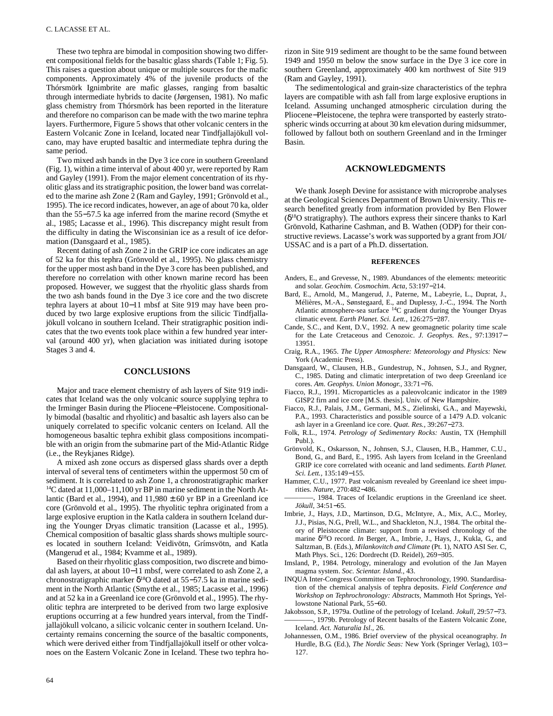These two tephra are bimodal in composition showing two different compositional fields for the basaltic glass shards (Table 1; Fig. 5). This raises a question about unique or multiple sources for the mafic components. Approximately 4% of the juvenile products of the Thórsmörk Ignimbrite are mafic glasses, ranging from basaltic through intermediate hybrids to dacite (Jørgensen, 1981). No mafic glass chemistry from Thórsmörk has been reported in the literature and therefore no comparison can be made with the two marine tephra layers. Furthermore, Figure 5 shows that other volcanic centers in the Eastern Volcanic Zone in Iceland, located near Tindfjallajökull volcano, may have erupted basaltic and intermediate tephra during the same period.

Two mixed ash bands in the Dye 3 ice core in southern Greenland (Fig. 1), within a time interval of about 400 yr, were reported by Ram and Gayley (1991). From the major element concentration of its rhyolitic glass and its stratigraphic position, the lower band was correlated to the marine ash Zone 2 (Ram and Gayley, 1991; Grönvold et al., 1995). The ice record indicates, however, an age of about 70 ka, older than the 55−57.5 ka age inferred from the marine record (Smythe et al., 1985; Lacasse et al., 1996). This discrepancy might result from the difficulty in dating the Wisconsinian ice as a result of ice deformation (Dansgaard et al., 1985).

Recent dating of ash Zone 2 in the GRIP ice core indicates an age of 52 ka for this tephra (Grönvold et al., 1995). No glass chemistry for the upper most ash band in the Dye 3 core has been published, and therefore no correlation with other known marine record has been proposed. However, we suggest that the rhyolitic glass shards from the two ash bands found in the Dye 3 ice core and the two discrete tephra layers at about 10−11 mbsf at Site 919 may have been produced by two large explosive eruptions from the silicic Tindfjallajökull volcano in southern Iceland. Their stratigraphic position indicates that the two events took place within a few hundred year interval (around 400 yr), when glaciation was initiated during isotope Stages 3 and 4.

#### **CONCLUSIONS**

Major and trace element chemistry of ash layers of Site 919 indicates that Iceland was the only volcanic source supplying tephra to the Irminger Basin during the Pliocene−Pleistocene. Compositionally bimodal (basaltic and rhyolitic) and basaltic ash layers also can be uniquely correlated to specific volcanic centers on Iceland. All the homogeneous basaltic tephra exhibit glass compositions incompatible with an origin from the submarine part of the Mid-Atlantic Ridge (i.e., the Reykjanes Ridge).

A mixed ash zone occurs as dispersed glass shards over a depth interval of several tens of centimeters within the uppermost 50 cm of sediment. It is correlated to ash Zone 1, a chronostratigraphic marker 14C dated at 11,000–11,100 yr BP in marine sediment in the North Atlantic (Bard et al., 1994), and  $11,980 \pm 60$  yr BP in a Greenland ice core (Grönvold et al., 1995). The rhyolitic tephra originated from a large explosive eruption in the Katla caldera in southern Iceland during the Younger Dryas climatic transition (Lacasse et al., 1995). Chemical composition of basaltic glass shards shows multiple sources located in southern Iceland: Veidivötn, Grímsvötn, and Katla (Mangerud et al., 1984; Kvamme et al., 1989).

Based on their rhyolitic glass composition, two discrete and bimodal ash layers, at about 10−11 mbsf, were correlated to ash Zone 2, a chronostratigraphic marker δ18O dated at 55−57.5 ka in marine sediment in the North Atlantic (Smythe et al., 1985; Lacasse et al., 1996) and at 52 ka in a Greenland ice core (Grönvold et al., 1995). The rhyolitic tephra are interpreted to be derived from two large explosive eruptions occurring at a few hundred years interval, from the Tindfjallajökull volcano, a silicic volcanic center in southern Iceland. Uncertainty remains concerning the source of the basaltic components, which were derived either from Tindfjallajökull itself or other volcanoes on the Eastern Volcanic Zone in Iceland. These two tephra horizon in Site 919 sediment are thought to be the same found between 1949 and 1950 m below the snow surface in the Dye 3 ice core in southern Greenland, approximately 400 km northwest of Site 919 (Ram and Gayley, 1991).

The sedimentological and grain-size characteristics of the tephra layers are compatible with ash fall from large explosive eruptions in Iceland. Assuming unchanged atmospheric circulation during the Pliocene−Pleistocene, the tephra were transported by easterly stratospheric winds occurring at about 30 km elevation during midsummer, followed by fallout both on southern Greenland and in the Irminger Basin.

#### **ACKNOWLEDGMENTS**

We thank Joseph Devine for assistance with microprobe analyses at the Geological Sciences Department of Brown University. This research benefited greatly from information provided by Ben Flower  $(\delta^{18}O$  stratigraphy). The authors express their sincere thanks to Karl Grönvold, Katharine Cashman, and B. Wathen (ODP) for their constructive reviews. Lacasse's work was supported by a grant from JOI/ USSAC and is a part of a Ph.D. dissertation.

#### **REFERENCES**

- Anders, E., and Grevesse, N., 1989. Abundances of the elements: meteoritic and solar. *Geochim. Cosmochim. Acta,* 53:197−214.
- Bard, E., Arnold, M., Mangerud, J., Paterne, M., Labeyrie, L., Duprat, J., Mélières, M.-A., Sønstegaard, E., and Duplessy, J.-C., 1994. The North Atlantic atmosphere-sea surface 14C gradient during the Younger Dryas climatic event. *Earth Planet. Sci. Lett.,* 126:275−287.
- Cande, S.C., and Kent, D.V., 1992. A new geomagnetic polarity time scale for the Late Cretaceous and Cenozoic. *J. Geophys. Res.,* 97:13917− 13951.
- Craig, R.A., 1965. *The Upper Atmosphere: Meteorology and Physics:* New York (Academic Press).
- Dansgaard, W., Clausen, H.B., Gundestrup, N., Johnsen, S.J., and Rygner, C., 1985. Dating and climatic interpretation of two deep Greenland ice cores. *Am. Geophys. Union Monogr.,* 33:71−76.
- Fiacco, R.J., 1991. Microparticles as a paleovolcanic indicator in the 1989 GISP2 firn and ice core [M.S. thesis]. Univ. of New Hampshire.
- Fiacco, R.J., Palais, J.M., Germani, M.S., Zielinski, G.A., and Mayewski, P.A., 1993. Characteristics and possible source of a 1479 A.D. volcanic ash layer in a Greenland ice core. *Quat. Res.,* 39:267−273.
- Folk, R.L., 1974. *Petrology of Sedimentary Rocks:* Austin, TX (Hemphill Publ.).
- Grönvold, K., Oskarsson, N., Johnsen, S.J., Clausen, H.B., Hammer, C.U., Bond, G., and Bard, E., 1995. Ash layers from Iceland in the Greenland GRIP ice core correlated with oceanic and land sediments. *Earth Planet. Sci. Lett.,* 135:149−155.
- Hammer, C.U., 1977. Past volcanism revealed by Greenland ice sheet impurities. *Nature,* 270:482−486.
- -, 1984. Traces of Icelandic eruptions in the Greenland ice sheet. *Jökull,* 34:51−65.
- Imbrie, J., Hays, J.D., Martinson, D.G., McIntyre, A., Mix, A.C., Morley, J.J., Pisias, N.G., Prell, W.L., and Shackleton, N.J., 1984. The orbital theory of Pleistocene climate: support from a revised chronology of the marine δ18O record. *In* Berger, A., Imbrie, J., Hays, J., Kukla, G., and Saltzman, B. (Eds.), *Milankovitch and Climate* (Pt. 1), NATO ASI Ser. C, Math Phys. Sci., 126: Dordrecht (D. Reidel), 269−305.
- Imsland, P., 1984. Petrology, mineralogy and evolution of the Jan Mayen magma system. *Soc. Scientar. Island.,* 43.
- INQUA Inter-Congress Committee on Tephrochronology, 1990. Standardisation of the chemical analysis of tephra deposits. *Field Conference and Workshop on Tephrochronology: Abstracts,* Mammoth Hot Springs, Yellowstone National Park, 55−60.
- Jakobsson, S.P., 1979a. Outline of the petrology of Iceland. *Jokull,* 29:57−73. , 1979b. Petrology of Recent basalts of the Eastern Volcanic Zone, Iceland. *Act. Naturalia Isl.,* 26.
- Johannessen, O.M., 1986. Brief overview of the physical oceanography. *In* Hurdle, B.G. (Ed.), *The Nordic Seas:* New York (Springer Verlag), 103− 127.